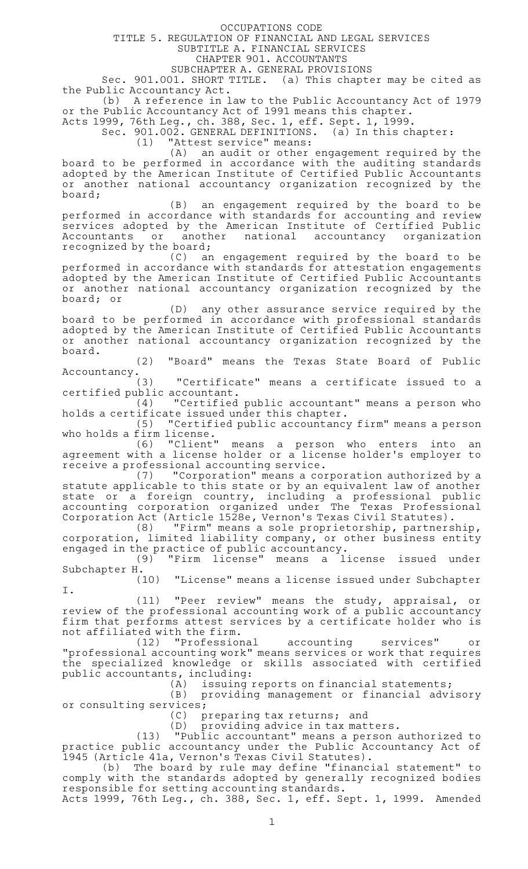OCCUPATIONS CODE

TITLE 5. REGULATION OF FINANCIAL AND LEGAL SERVICES

SUBTITLE A. FINANCIAL SERVICES

CHAPTER 901. ACCOUNTANTS

SUBCHAPTER A. GENERAL PROVISIONS

Sec. 901.001. SHORT TITLE. (a) This chapter may be cited as the Public Accountancy Act.

(b) A reference in law to the Public Accountancy Act of 1979 or the Public Accountancy Act of 1991 means this chapter.

Acts 1999, 76th Leg., ch. 388, Sec. 1, eff. Sept. 1, 1999.

Sec. 901.002. GENERAL DEFINITIONS. (a) In this chapter:

(1) "Attest service" means:

(A) an audit or other engagement required by the board to be performed in accordance with the auditing standards adopted by the American Institute of Certified Public Accountants or another national accountancy organization recognized by the board;

 $(B)$  an engagement required by the board to be performed in accordance with standards for accounting and review services adopted by the American Institute of Certified Public Accountants or another national accountancy organization recognized by the board;

(C) an engagement required by the board to be performed in accordance with standards for attestation engagements adopted by the American Institute of Certified Public Accountants or another national accountancy organization recognized by the board; or

(D) any other assurance service required by the board to be performed in accordance with professional standards adopted by the American Institute of Certified Public Accountants or another national accountancy organization recognized by the board.

(2) "Board" means the Texas State Board of Public

Accountancy.<br>(3) "Certificate" means a certificate issued to a certified public accountant.

 $(4)$  "Certified public accountant" means a person who holds a certificate issued under this chapter.

(5) "Certified public accountancy firm" means a person

who holds a firm license.<br>"Client" (6) means a person who enters into an agreement with a license holder or a license holder 's employer to receive a professional accounting service.

(7) "Corporation" means a corporation authorized by a statute applicable to this state or by an equivalent law of another state or a foreign country, including a professional public accounting corporation organized under The Texas Professional Corporation Act (Article 1528e, Vernon 's Texas Civil Statutes).

(8) "Firm" means a sole proprietorship, partnership, corporation, limited liability company, or other business entity engaged in the practice of public accountancy.

(9) "Firm license" means a license issued under Subchapter H.

(10) "License" means a license issued under Subchapter I.

(11) "Peer review" means the study, appraisal, or review of the professional accounting work of a public accountancy firm that performs attest services by a certificate holder who is not affiliated with the firm.<br>(12) "Professional

(12) "Professional accounting services" or "professional accounting work" means services or work that requires the specialized knowledge or skills associated with certified public accountants, including:

issuing reports on financial statements;

(B) providing management or financial advisory or consulting services;

(C) preparing tax returns; and<br>(D) providing advice in tax mat

providing advice in tax matters.

(13) "Public accountant" means a person authorized to practice public accountancy under the Public Accountancy Act of 1945 (Article 41a, Vernon 's Texas Civil Statutes).

(b) The board by rule may define "financial statement" to comply with the standards adopted by generally recognized bodies responsible for setting accounting standards.

Acts 1999, 76th Leg., ch. 388, Sec. 1, eff. Sept. 1, 1999. Amended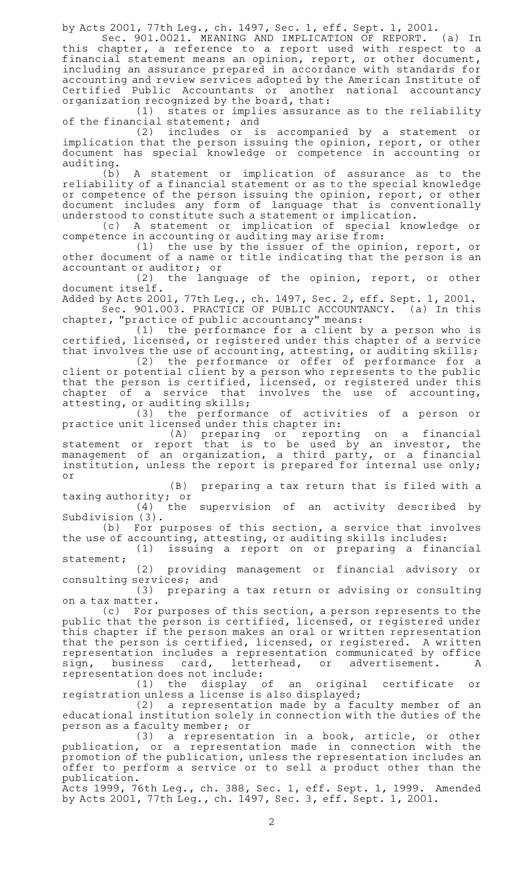by Acts 2001, 77th Leg., ch. 1497, Sec. 1, eff. Sept. 1, 2001.

Sec. 901.0021. MEANING AND IMPLICATION OF REPORT. (a) In this chapter, a reference to a report used with respect to a financial statement means an opinion, report, or other document, including an assurance prepared in accordance with standards for accounting and review services adopted by the American Institute of Certified Public Accountants or another national accountancy organization recognized by the board, that:

(1) states or implies assurance as to the reliability of the financial statement; and

(2) includes or is accompanied by a statement or implication that the person issuing the opinion, report, or other document has special knowledge or competence in accounting or auditing.

(b)AAA statement or implication of assurance as to the reliability of a financial statement or as to the special knowledge or competence of the person issuing the opinion, report, or other document includes any form of language that is conventionally understood to constitute such a statement or implication.

(c)AAA statement or implication of special knowledge or competence in accounting or auditing may arise from:

(1) the use by the issuer of the opinion, report, or other document of a name or title indicating that the person is an accountant or auditor; or

(2) the language of the opinion, report, or other document itself.

Added by Acts 2001, 77th Leg., ch. 1497, Sec. 2, eff. Sept. 1, 2001.

Sec. 901.003. PRACTICE OF PUBLIC ACCOUNTANCY. (a) In this chapter, "practice of public accountancy" means:

 $(1)$  the performance for a client by a person who is certified, licensed, or registered under this chapter of a service that involves the use of accounting, attesting, or auditing skills;

(2) the performance or offer of performance for a client or potential client by a person who represents to the public that the person is certified, licensed, or registered under this chapter of a service that involves the use of accounting,

attesting, or auditing skills;<br>(3) the performan the performance of activities of a person or practice unit licensed under this chapter in:

(A) preparing or reporting on a financial statement or report that is to be used by an investor, the management of an organization, a third party, or a financial institution, unless the report is prepared for internal use only; or

(B) preparing a tax return that is filed with a taxing authority; or<br>(4) the

 $(4)$  the supervision of an activity described by Subdivision (3).

(b) For purposes of this section, a service that involves the use of accounting, attesting, or auditing skills includes:

(1) issuing a report on or preparing a financial statement;

(2) providing management or financial advisory or consulting services; and

(3) preparing a tax return or advising or consulting on a tax matter.

(c) For purposes of this section, a person represents to the public that the person is certified, licensed, or registered under this chapter if the person makes an oral or written representation that the person is certified, licensed, or registered. A written representation includes a representation communicated by office sign, business card, letterhead, or advertisement. A sign, business card, lette<br>representation does not include:

(1) the display of an original certificate or registration unless a license is also displayed;

(2) a representation made by a faculty member of an educational institution solely in connection with the duties of the person as a faculty member; or

(3) a representation in a book, article, or other publication, or a representation made in connection with the promotion of the publication, unless the representation includes an offer to perform a service or to sell a product other than the publication.

Acts 1999, 76th Leg., ch. 388, Sec. 1, eff. Sept. 1, 1999. Amended by Acts 2001, 77th Leg., ch. 1497, Sec. 3, eff. Sept. 1, 2001.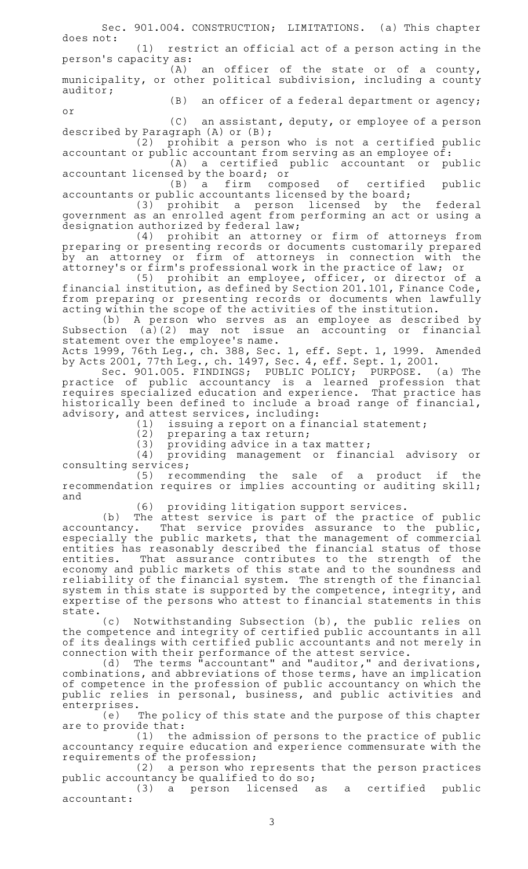Sec. 901.004. CONSTRUCTION; LIMITATIONS. (a) This chapter does not:

 $(1)$  restrict an official act of a person acting in the person 's capacity as:

 $(A)$  an officer of the state or of a county, municipality, or other political subdivision, including a county auditor;

 $(B)$  an officer of a federal department or agency;

 $(C)$  an assistant, deputy, or employee of a person described by Paragraph (A) or (B);

or

 $(2)$  prohibit a person who is not a certified public accountant or public accountant from serving as an employee of:

(A) a certified public accountant or public accountant licensed by the board; or

(B) a firm composed of certified public accountants or public accountants licensed by the board;

(3) prohibit a person licensed by the federal government as an enrolled agent from performing an act or using a designation authorized by federal law;

(4) prohibit an attorney or firm of attorneys from preparing or presenting records or documents customarily prepared by an attorney or firm of attorneys in connection with the attorney 's or firm 's professional work in the practice of law; or

(5) prohibit an employee, officer, or director of a financial institution, as defined by Section 201.101, Finance Code, from preparing or presenting records or documents when lawfully acting within the scope of the activities of the institution.

(b)AAA person who serves as an employee as described by Subsection (a)(2) may not issue an accounting or financial statement over the employee 's name.

Acts 1999, 76th Leg., ch. 388, Sec. 1, eff. Sept. 1, 1999. Amended by Acts 2001, 77th Leg., ch. 1497, Sec. 4, eff. Sept. 1, 2001.

Sec. 901.005. FINDINGS; PUBLIC POLICY; PURPOSE. (a) The practice of public accountancy is a learned profession that requires specialized education and experience. That practice has historically been defined to include a broad range of financial, advisory, and attest services, including:

(1) issuing a report on a financial statement;

 $(2)$  preparing a tax return;

 $(3)$  providing advice in a tax matter;

 $(4)$  providing management or financial advisory or consulting services;

(5) recommending the sale of a product if the recommendation requires or implies accounting or auditing skill; and

(6) providing litigation support services.

(b) The attest service is part of the practice of public accountancy. That service provides assurance to the public, especially the public markets, that the management of commercial entities has reasonably described the financial status of those entities. That assurance contributes to the strength of the economy and public markets of this state and to the soundness and reliability of the financial system. The strength of the financial system in this state is supported by the competence, integrity, and expertise of the persons who attest to financial statements in this state.

(c) Notwithstanding Subsection (b), the public relies on the competence and integrity of certified public accountants in all of its dealings with certified public accountants and not merely in connection with their performance of the attest service.

(d) The terms "accountant" and "auditor," and derivations, combinations, and abbreviations of those terms, have an implication of competence in the profession of public accountancy on which the public relies in personal, business, and public activities and enterprises.

(e) The policy of this state and the purpose of this chapter are to provide that:

(1) the admission of persons to the practice of public accountancy require education and experience commensurate with the requirements of the profession;

(2) a person who represents that the person practices public accountancy be qualified to do so;

(3) a person licensed as a certified public accountant: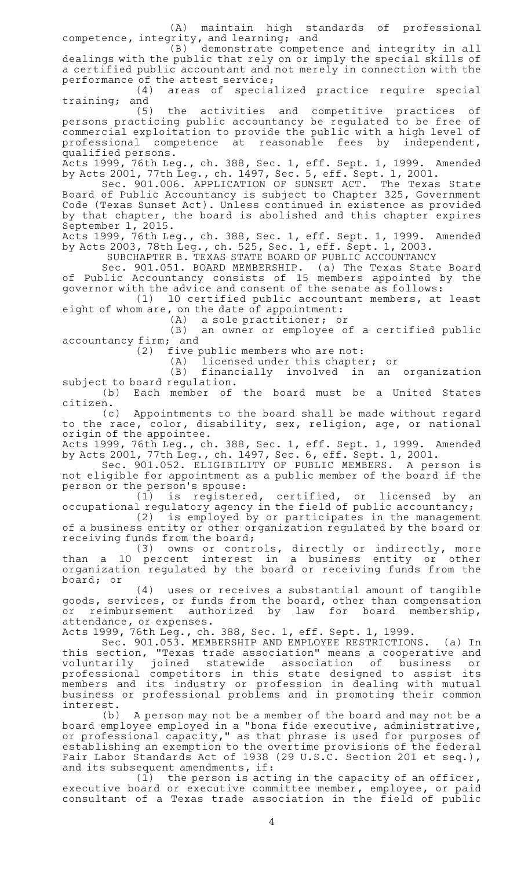(A) maintain high standards of professional competence, integrity, and learning; and

(B) demonstrate competence and integrity in all dealings with the public that rely on or imply the special skills of a certified public accountant and not merely in connection with the performance of the attest service;

(4) areas of specialized practice require special training; and

(5) the activities and competitive practices of persons practicing public accountancy be regulated to be free of commercial exploitation to provide the public with a high level of professional competence at reasonable fees by independent, qualified persons.

Acts 1999, 76th Leg., ch. 388, Sec. 1, eff. Sept. 1, 1999. Amended by Acts 2001, 77th Leg., ch. 1497, Sec. 5, eff. Sept. 1, 2001.

Sec. 901.006. APPLICATION OF SUNSET ACT. The Texas State Board of Public Accountancy is subject to Chapter 325, Government Code (Texas Sunset Act). Unless continued in existence as provided by that chapter, the board is abolished and this chapter expires September 1, 2015.

Acts 1999, 76th Leg., ch. 388, Sec. 1, eff. Sept. 1, 1999. Amended by Acts 2003, 78th Leg., ch. 525, Sec. 1, eff. Sept. 1, 2003.

SUBCHAPTER B. TEXAS STATE BOARD OF PUBLIC ACCOUNTANCY

Sec. 901.051. BOARD MEMBERSHIP. (a) The Texas State Board of Public Accountancy consists of 15 members appointed by the governor with the advice and consent of the senate as follows:

 $(1)$  10 certified public accountant members, at least eight of whom are, on the date of appointment:<br>(A) a sole practitioner; of

a sole practitioner; or

 $(B)$  an owner or employee of a certified public accountancy firm; and

(2) five public members who are not:

(A) licensed under this chapter; or<br>(B) financially involved in an

financially involved in an organization subject to board regulation.

(b) Each member of the board must be a United States

citizen.<br>c) Appointments to the board shall be made without regard to the race, color, disability, sex, religion, age, or national origin of the appointee.

Acts 1999, 76th Leg., ch. 388, Sec. 1, eff. Sept. 1, 1999. Amended by Acts 2001, 77th Leg., ch. 1497, Sec. 6, eff. Sept. 1, 2001.

Sec. 901.052. ELIGIBILITY OF PUBLIC MEMBERS. A person is not eligible for appointment as a public member of the board if the person or the person 's spouse:

 $(1)$  is registered, certified, or licensed by an occupational regulatory agency in the field of public accountancy;

 $(2)$  is employed by or participates in the management of a business entity or other organization regulated by the board or receiving funds from the board;

(3) owns or controls, directly or indirectly, more than a 10 percent interest in a business entity or other organization regulated by the board or receiving funds from the board; or

(4) uses or receives a substantial amount of tangible goods, services, or funds from the board, other than compensation or reimbursement authorized by law for board membership, attendance, or expenses.

Acts 1999, 76th Leg., ch. 388, Sec. 1, eff. Sept. 1, 1999.

Sec. 901.053. MEMBERSHIP AND EMPLOYEE RESTRICTIONS. (a) In this section, "Texas trade association" means a cooperative and voluntarily joined statewide association of business or professional competitors in this state designed to assist its members and its industry or profession in dealing with mutual business or professional problems and in promoting their common

interest.<br>(b) A person may not be a member of the board and may not be a board employee employed in a "bona fide executive, administrative, or professional capacity," as that phrase is used for purposes of establishing an exemption to the overtime provisions of the federal Fair Labor Standards Act of 1938 (29 U.S.C. Section 201 et seq.), and its subsequent amendments, if:

 $(1)$  the person is acting in the capacity of an officer, executive board or executive committee member, employee, or paid consultant of a Texas trade association in the field of public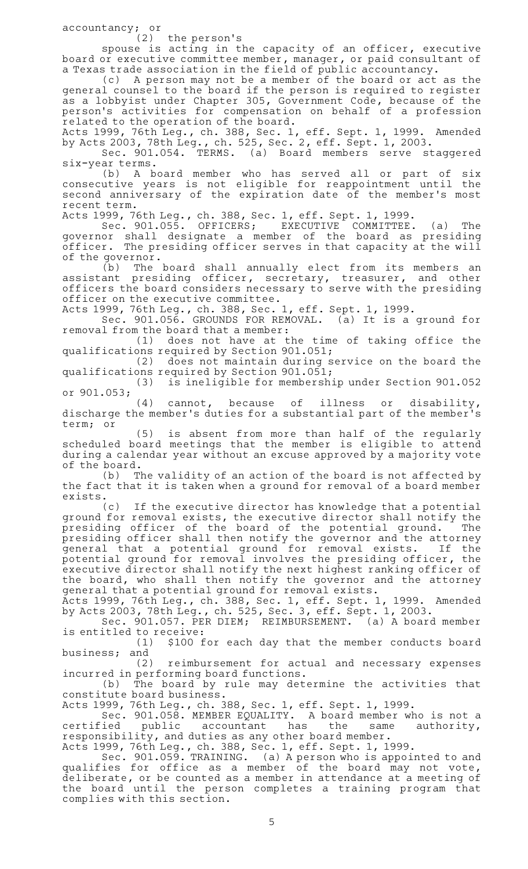accountancy; or

 $(2)$  the person's

spouse is acting in the capacity of an officer, executive board or executive committee member, manager, or paid consultant of a Texas trade association in the field of public accountancy.

(c) A person may not be a member of the board or act as the general counsel to the board if the person is required to register as a lobbyist under Chapter 305, Government Code, because of the person 's activities for compensation on behalf of a profession related to the operation of the board.

Acts 1999, 76th Leg., ch. 388, Sec. 1, eff. Sept. 1, 1999. Amended by Acts 2003, 78th Leg., ch. 525, Sec. 2, eff. Sept. 1, 2003.

Sec. 901.054. TERMS. (a) Board members serve staggered six-year terms.

(b)AAA board member who has served all or part of six consecutive years is not eligible for reappointment until the second anniversary of the expiration date of the member 's most recent term.

Acts 1999, 76th Leg., ch. 388, Sec. 1, eff. Sept. 1, 1999.<br>Sec. 901.055. OFFICERS; EXECUTIVE COMMITTEE. Sec. 901.055. OFFICERS; EXECUTIVE COMMITTEE. (a) The governor shall designate a member of the board as presiding officer. The presiding officer serves in that capacity at the will of the governor.

(b) The board shall annually elect from its members an assistant presiding officer, secretary, treasurer, and other officers the board considers necessary to serve with the presiding officer on the executive committee.

Acts 1999, 76th Leg., ch. 388, Sec. 1, eff. Sept. 1, 1999.

Sec. 901.056. GROUNDS FOR REMOVAL. (a) It is a ground for removal from the board that a member:

(1) does not have at the time of taking office the qualifications required by Section 901.051;

(2) does not maintain during service on the board the qualifications required by Section 901.051;

(3) is ineligible for membership under Section 901.052 or 901.053;

 $(4)$  cannot, because of illness or disability, discharge the member 's duties for a substantial part of the member 's term; or

(5) is absent from more than half of the regularly scheduled board meetings that the member is eligible to attend during a calendar year without an excuse approved by a majority vote of the board.

(b) The validity of an action of the board is not affected by the fact that it is taken when a ground for removal of a board member

exists.<br>c) If the executive director has knowledge that a potential ground for removal exists, the executive director shall notify the presiding officer of the board of the potential ground. The presiding officer shall then notify the governor and the attorney general that a potential ground for removal exists. If the potential ground for removal involves the presiding officer, the executive director shall notify the next highest ranking officer of the board, who shall then notify the governor and the attorney general that a potential ground for removal exists.

Acts 1999, 76th Leg., ch. 388, Sec. 1, eff. Sept. 1, 1999. Amended by Acts 2003, 78th Leg., ch. 525, Sec. 3, eff. Sept. 1, 2003.

Sec. 901.057. PER DIEM; REIMBURSEMENT. (a) A board member is entitled to receive:

(1) \$100 for each day that the member conducts board business; and

(2) reimbursement for actual and necessary expenses incurred in performing board functions.

(b) The board by rule may determine the activities that constitute board business.

Acts 1999, 76th Leg., ch. 388, Sec. 1, eff. Sept. 1, 1999.

Sec. 901.058. MEMBER EQUALITY. A board member who is not a certified public accountant has the same authority, responsibility, and duties as any other board member.

Acts 1999, 76th Leg., ch. 388, Sec. 1, eff. Sept. 1, 1999.

Sec. 901.059. TRAINING. (a) A person who is appointed to and qualifies for office as a member of the board may not vote, deliberate, or be counted as a member in attendance at a meeting of the board until the person completes a training program that complies with this section.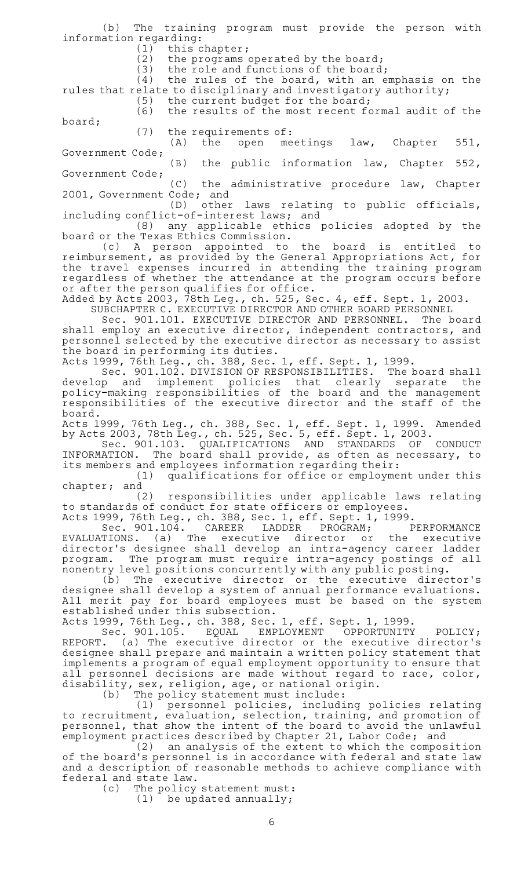(b) The training program must provide the person with information regarding:

(1) this chapter;<br>(2) the programs

(2) the programs operated by the board;<br>(3) the role and functions of the board

the role and functions of the board;

 $(4)$  the rules of the board, with an emphasis on the rules that relate to disciplinary and investigatory authority;  $(5)$  the current budget for the board;

(6) the results of the most recent formal audit of the board;

(7) the requirements of:<br>(A) the open me open meetings law, Chapter 551, Government Code;

 $(B)$  the public information law, Chapter 552, Government Code;

 $(C)$  the administrative procedure law, Chapter 2001, Government Code; and

(D) other laws relating to public officials, including conflict-of-interest laws; and

(8) any applicable ethics policies adopted by the

board or the Texas Ethics Commission.<br>(c) A person appointed to (c)AAA person appointed to the board is entitled to reimbursement, as provided by the General Appropriations Act, for the travel expenses incurred in attending the training program regardless of whether the attendance at the program occurs before or after the person qualifies for office.

Added by Acts 2003, 78th Leg., ch. 525, Sec. 4, eff. Sept. 1, 2003.

SUBCHAPTER C. EXECUTIVE DIRECTOR AND OTHER BOARD PERSONNEL

Sec. 901.101. EXECUTIVE DIRECTOR AND PERSONNEL. The board shall employ an executive director, independent contractors, and personnel selected by the executive director as necessary to assist the board in performing its duties.

Acts 1999, 76th Leg., ch. 388, Sec. 1, eff. Sept. 1, 1999.

Sec. 901.102. DIVISION OF RESPONSIBILITIES. The board shall develop and implement policies that clearly separate the policy-making responsibilities of the board and the management responsibilities of the executive director and the staff of the board.

Acts 1999, 76th Leg., ch. 388, Sec. 1, eff. Sept. 1, 1999. Amended by Acts 2003, 78th Leg., ch. 525, Sec. 5, eff. Sept. 1, 2003.

Sec. 901.103. QUALIFICATIONS AND STANDARDS OF CONDUCT INFORMATION. The board shall provide, as often as necessary, to its members and employees information regarding their:

(1) qualifications for office or employment under this chapter; and

(2) responsibilities under applicable laws relating to standards of conduct for state officers or employees.

Acts 1999, 76th Leg., ch. 388, Sec. 1, eff. Sept. 1, 1999.<br>Sec. 901.104. CAREER LADDER PROGRAM; PERFORMANCE Sec. 901.104. EVALUATIONS. (a) The executive director or the executive director 's designee shall develop an intra-agency career ladder program. The program must require intra-agency postings of all nonentry level positions concurrently with any public posting.

 $(b)$  The executive director or the executive director's designee shall develop a system of annual performance evaluations. All merit pay for board employees must be based on the system established under this subsection.

Acts 1999, 76th Leg., ch. 388, Sec. 1, eff. Sept. 1, 1999.

Sec. 901.105. EQUAL EMPLOYMENT OPPORTUNITY POLICY; REPORT. (a) The executive director or the executive director's designee shall prepare and maintain a written policy statement that implements a program of equal employment opportunity to ensure that all personnel decisions are made without regard to race, color, disability, sex, religion, age, or national origin.

(b) The policy statement must include:

(1) personnel policies, including policies relating to recruitment, evaluation, selection, training, and promotion of personnel, that show the intent of the board to avoid the unlawful employment practices described by Chapter 21, Labor Code; and

(2) an analysis of the extent to which the composition of the board's personnel is in accordance with federal and state law and a description of reasonable methods to achieve compliance with federal and state law.

(c) The policy statement must:

 $(1)$  be updated annually;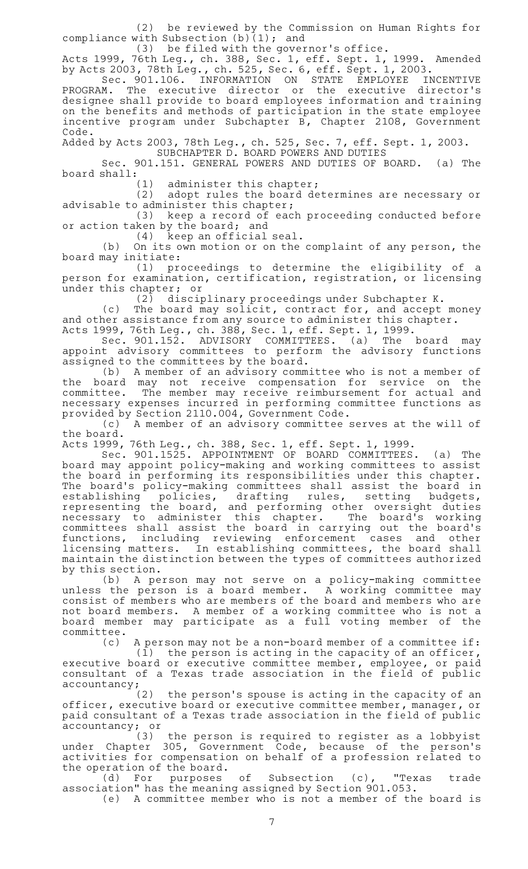(2) be reviewed by the Commission on Human Rights for compliance with Subsection (b)(1); and

(3) be filed with the governor's office.

Acts 1999, 76th Leg., ch. 388, Sec. 1, eff. Sept. 1, 1999. Amended by Acts 2003, 78th Leg., ch. 525, Sec. 6, eff. Sept. 1, 2003.

Sec. 901.106. INFORMATION ON STATE EMPLOYEE INCENTIVE PROGRAM. The executive director or the executive director's designee shall provide to board employees information and training on the benefits and methods of participation in the state employee incentive program under Subchapter B, Chapter 2108, Government Code.

Added by Acts 2003, 78th Leg., ch. 525, Sec. 7, eff. Sept. 1, 2003. SUBCHAPTER D. BOARD POWERS AND DUTIES

Sec. 901.151. GENERAL POWERS AND DUTIES OF BOARD. (a) The board shall:

(1) administer this chapter;<br>(2) adopt rules the board de

adopt rules the board determines are necessary or advisable to administer this chapter;

 $(3)$  keep a record of each proceeding conducted before or action taken by the board; and

 $(4)$  keep an official seal.

(b) On its own motion or on the complaint of any person, the board may initiate:

(1) proceedings to determine the eligibility of a person for examination, certification, registration, or licensing under this chapter; or

 $(2)$  disciplinary proceedings under Subchapter K.

(c) The board may solicit, contract for, and accept money and other assistance from any source to administer this chapter.

Acts 1999, 76th Leg., ch. 388, Sec. 1, eff. Sept. 1, 1999.

Sec. 901.152. ADVISORY COMMITTEES. (a) The board may appoint advisory committees to perform the advisory functions assigned to the committees by the board.

(b) A member of an advisory committee who is not a member of the board may not receive compensation for service on the committee. The member may receive reimbursement for actual and necessary expenses incurred in performing committee functions as

provided by Section 2110.004, Government Code. A member of an advisory committee serves at the will of the board.

Acts 1999, 76th Leg., ch. 388, Sec. 1, eff. Sept. 1, 1999.

Sec. 901.1525. APPOINTMENT OF BOARD COMMITTEES. (a) The board may appoint policy-making and working committees to assist the board in performing its responsibilities under this chapter. The board's policy-making committees shall assist the board in establishing policies, drafting rules, setting budgets, representing the board, and performing other oversight duties necessary to administer this chapter. The board's working committees shall assist the board in carrying out the board 's functions, including reviewing enforcement cases and other licensing matters. In establishing committees, the board shall maintain the distinction between the types of committees authorized by this section.

(b)AAA person may not serve on a policy-making committee unless the person is a board member. A working committee may consist of members who are members of the board and members who are not board members. A member of a working committee who is not a board member may participate as a full voting member of the committee.

(c) A person may not be a non-board member of a committee if:  $(1)$  the person is acting in the capacity of an officer, executive board or executive committee member, employee, or paid consultant of a Texas trade association in the field of public

 $\text{accountancy:}$  (2) the person's spouse is acting in the capacity of an officer, executive board or executive committee member, manager, or paid consultant of a Texas trade association in the field of public accountancy; or

(3) the person is required to register as a lobbyist under Chapter 305, Government Code, because of the person's activities for compensation on behalf of a profession related to the operation of the board.

(d) For purposes of Subsection (c), "Texas trade association" has the meaning assigned by Section 901.053.

(e) A committee member who is not a member of the board is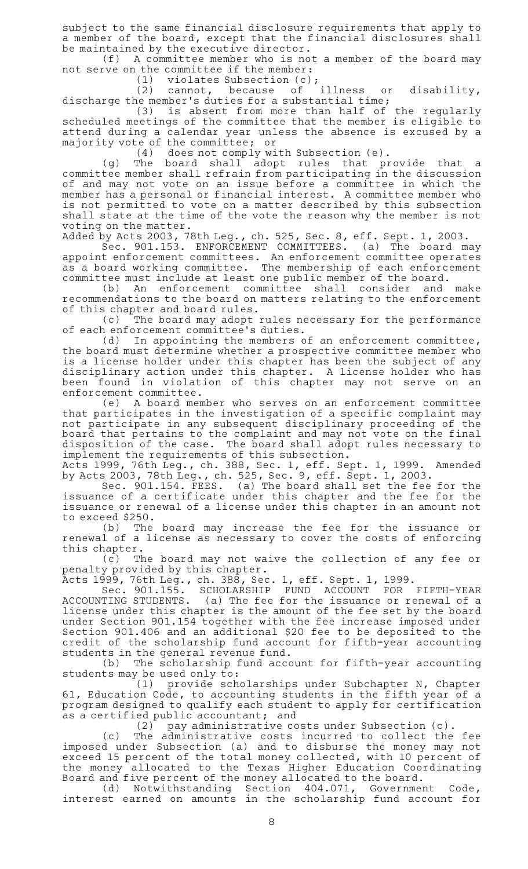subject to the same financial disclosure requirements that apply to a member of the board, except that the financial disclosures shall be maintained by the executive director.

 $(f)$  A committee member who is not a member of the board may not serve on the committee if the member:

(1) violates Subsection  $(c)$ ;<br>(2) cannot, because of illness cannot, because of illness or disability, discharge the member 's duties for a substantial time;

(3) is absent from more than half of the regularly scheduled meetings of the committee that the member is eligible to attend during a calendar year unless the absence is excused by a majority vote of the committee; or

(4) does not comply with Subsection (e).

(g) The board shall adopt rules that provide that a committee member shall refrain from participating in the discussion of and may not vote on an issue before a committee in which the member has a personal or financial interest. A committee member who is not permitted to vote on a matter described by this subsection shall state at the time of the vote the reason why the member is not voting on the matter.

Added by Acts 2003, 78th Leg., ch. 525, Sec. 8, eff. Sept. 1, 2003.<br>Sec. 901.153. ENFORCEMENT COMMITTEES. (a) The board may

Sec. 901.153. ENFORCEMENT COMMITTEES. appoint enforcement committees. An enforcement committee operates as a board working committee. The membership of each enforcement committee must include at least one public member of the board.

(b) An enforcement committee shall consider and make recommendations to the board on matters relating to the enforcement of this chapter and board rules.

(c) The board may adopt rules necessary for the performance of each enforcement committee 's duties.

(d) In appointing the members of an enforcement committee, the board must determine whether a prospective committee member who is a license holder under this chapter has been the subject of any disciplinary action under this chapter. A license holder who has been found in violation of this chapter may not serve on an enforcement committee.

(e)AAA board member who serves on an enforcement committee that participates in the investigation of a specific complaint may not participate in any subsequent disciplinary proceeding of the board that pertains to the complaint and may not vote on the final disposition of the case. The board shall adopt rules necessary to implement the requirements of this subsection.

Acts 1999, 76th Leg., ch. 388, Sec. 1, eff. Sept. 1, 1999. Amended by Acts 2003, 78th Leg., ch. 525, Sec. 9, eff. Sept. 1, 2003.

Sec. 901.154. FEES. (a) The board shall set the fee for the issuance of a certificate under this chapter and the fee for the issuance or renewal of a license under this chapter in an amount not to exceed \$250.

(b) The board may increase the fee for the issuance or renewal of a license as necessary to cover the costs of enforcing this chapter.

(c) The board may not waive the collection of any fee or penalty provided by this chapter.

Acts 1999, 76th Leg., ch. 388, Sec. 1, eff. Sept. 1, 1999.

Sec. 901.155. SCHOLARSHIP FUND ACCOUNT FOR FIFTH-YEAR ACCOUNTING STUDENTS. (a) The fee for the issuance or renewal of a license under this chapter is the amount of the fee set by the board under Section 901.154 together with the fee increase imposed under Section 901.406 and an additional \$20 fee to be deposited to the credit of the scholarship fund account for fifth-year accounting students in the general revenue fund.

(b) The scholarship fund account for fifth-year accounting students may be used only to:

(1) provide scholarships under Subchapter N, Chapter 61, Education Code, to accounting students in the fifth year of a program designed to qualify each student to apply for certification as a certified public accountant; and

(2) pay administrative costs under Subsection (c).

(c) The administrative costs incurred to collect the fee imposed under Subsection (a) and to disburse the money may not exceed 15 percent of the total money collected, with 10 percent of the money allocated to the Texas Higher Education Coordinating Board and five percent of the money allocated to the board.

(d) Notwithstanding Section 404.071, Government Code, interest earned on amounts in the scholarship fund account for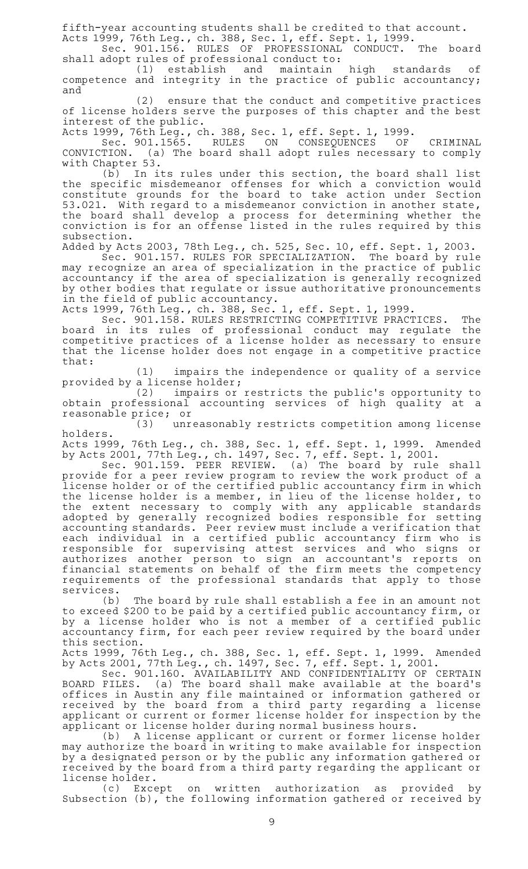fifth-year accounting students shall be credited to that account.

Acts 1999, 76th Leg., ch. 388, Sec. 1, eff. Sept. 1, 1999. Sec. 901.156. RULES OF PROFESSIONAL CONDUCT. The board shall adopt rules of professional conduct to:

(1) establish and maintain high standards of competence and integrity in the practice of public accountancy; and

(2) ensure that the conduct and competitive practices of license holders serve the purposes of this chapter and the best interest of the public.

Acts 1999, 76th Leg., ch. 388, Sec. 1, eff. Sept. 1, 1999.

Sec. 901.1565. RULES ON CONSEQUENCES OF CRIMINAL CONVICTION. (a) The board shall adopt rules necessary to comply with Chapter 53.

(b) In its rules under this section, the board shall list the specific misdemeanor offenses for which a conviction would constitute grounds for the board to take action under Section 53.021. With regard to a misdemeanor conviction in another state, the board shall develop a process for determining whether the conviction is for an offense listed in the rules required by this subsection.

Added by Acts 2003, 78th Leg., ch. 525, Sec. 10, eff. Sept. 1, 2003.

Sec. 901.157. RULES FOR SPECIALIZATION. The board by rule may recognize an area of specialization in the practice of public accountancy if the area of specialization is generally recognized by other bodies that regulate or issue authoritative pronouncements in the field of public accountancy.

Acts 1999, 76th Leg., ch. 388, Sec. 1, eff. Sept. 1, 1999.

Sec. 901.158. RULES RESTRICTING COMPETITIVE PRACTICES. The board in its rules of professional conduct may regulate the competitive practices of a license holder as necessary to ensure that the license holder does not engage in a competitive practice that:

(1) impairs the independence or quality of a service provided by a license holder;

(2) impairs or restricts the public's opportunity to obtain professional accounting services of high quality at a reasonable price; or<br>(3) unre

unreasonably restricts competition among license holders.

Acts 1999, 76th Leg., ch. 388, Sec. 1, eff. Sept. 1, 1999. Amended by Acts 2001, 77th Leg., ch. 1497, Sec. 7, eff. Sept. 1, 2001.

Sec. 901.159. PEER REVIEW. (a) The board by rule shall provide for a peer review program to review the work product of a license holder or of the certified public accountancy firm in which the license holder is a member, in lieu of the license holder, to the extent necessary to comply with any applicable standards adopted by generally recognized bodies responsible for setting accounting standards. Peer review must include a verification that each individual in a certified public accountancy firm who is responsible for supervising attest services and who signs or authorizes another person to sign an accountant's reports on financial statements on behalf of the firm meets the competency requirements of the professional standards that apply to those services.

(b) The board by rule shall establish a fee in an amount not to exceed \$200 to be paid by a certified public accountancy firm, or by a license holder who is not a member of a certified public accountancy firm, for each peer review required by the board under this section.

Acts 1999, 76th Leg., ch. 388, Sec. 1, eff. Sept. 1, 1999. Amended by Acts 2001, 77th Leg., ch. 1497, Sec. 7, eff. Sept. 1, 2001.

Sec. 901.160. AVAILABILITY AND CONFIDENTIALITY OF CERTAIN BOARD FILES. (a) The board shall make available at the board's offices in Austin any file maintained or information gathered or received by the board from a third party regarding a license applicant or current or former license holder for inspection by the applicant or license holder during normal business hours.

(b) A license applicant or current or former license holder may authorize the board in writing to make available for inspection by a designated person or by the public any information gathered or received by the board from a third party regarding the applicant or license holder.

(c) Except on written authorization as provided by Subsection (b), the following information gathered or received by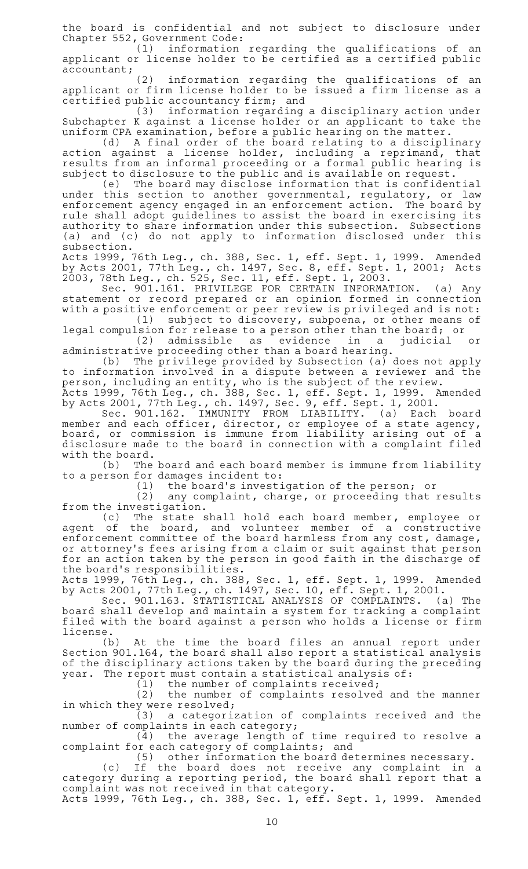the board is confidential and not subject to disclosure under Chapter 552, Government Code:

(1) information regarding the qualifications of an applicant or license holder to be certified as a certified public accountant;

(2) information regarding the qualifications of an applicant or firm license holder to be issued a firm license as a certified public accountancy firm; and

(3) information regarding a disciplinary action under Subchapter K against a license holder or an applicant to take the uniform CPA examination, before a public hearing on the matter.

(d) A final order of the board relating to a disciplinary action against a license holder, including a reprimand, that results from an informal proceeding or a formal public hearing is subject to disclosure to the public and is available on request.

(e) The board may disclose information that is confidential under this section to another governmental, regulatory, or law enforcement agency engaged in an enforcement action. The board by rule shall adopt guidelines to assist the board in exercising its authority to share information under this subsection. Subsections (a) and (c) do not apply to information disclosed under this subsection.

Acts 1999, 76th Leg., ch. 388, Sec. 1, eff. Sept. 1, 1999. Amended by Acts 2001, 77th Leg., ch. 1497, Sec. 8, eff. Sept. 1, 2001; Acts 2003, 78th Leg., ch. 525, Sec. 11, eff. Sept. 1, 2003.

Sec. 901.161. PRIVILEGE FOR CERTAIN INFORMATION. (a) Any statement or record prepared or an opinion formed in connection with a positive enforcement or peer review is privileged and is not:<br>(1) subject to discovery, subpoena, or other means of

subject to discovery, subpoena, or other means of legal compulsion for release to a person other than the board; or (2) admissible as evidence in a judicial or

administrative proceeding other than a board hearing.

(b) The privilege provided by Subsection (a) does not apply to information involved in a dispute between a reviewer and the person, including an entity, who is the subject of the review.

Acts 1999, 76th Leg., ch. 388, Sec. 1, eff. Sept. 1, 1999. Amended by Acts 2001, 77th Leg., ch. 1497, Sec. 9, eff. Sept. 1, 2001.

Sec. 901.162. IMMUNITY FROM LIABILITY. (a) Each board member and each officer, director, or employee of a state agency, board, or commission is immune from liability arising out of a disclosure made to the board in connection with a complaint filed with the board.

(b) The board and each board member is immune from liability to a person for damages incident to:

(1) the board's investigation of the person; or

 $(2)$  any complaint, charge, or proceeding that results from the investigation.

(c) The state shall hold each board member, employee or agent of the board, and volunteer member of a constructive enforcement committee of the board harmless from any cost, damage, or attorney 's fees arising from a claim or suit against that person for an action taken by the person in good faith in the discharge of the board 's responsibilities.

Acts 1999, 76th Leg., ch. 388, Sec. 1, eff. Sept. 1, 1999. Amended by Acts 2001, 77th Leg., ch. 1497, Sec. 10, eff. Sept. 1, 2001.

Sec. 901.163. STATISTICAL ANALYSIS OF COMPLAINTS. (a) The board shall develop and maintain a system for tracking a complaint filed with the board against a person who holds a license or firm license.

(b) At the time the board files an annual report under Section 901.164, the board shall also report a statistical analysis of the disciplinary actions taken by the board during the preceding year. The report must contain a statistical analysis of:

 $(1)$  the number of complaints received;

(2) the number of complaints resolved and the manner in which they were resolved;

 $(3)$  a categorization of complaints received and the number of complaints in each category;

(4) the average length of time required to resolve a complaint for each category of complaints; and

(5) other information the board determines necessary.

(c) If the board does not receive any complaint in a category during a reporting period, the board shall report that a complaint was not received in that category.

Acts 1999, 76th Leg., ch. 388, Sec. 1, eff. Sept. 1, 1999. Amended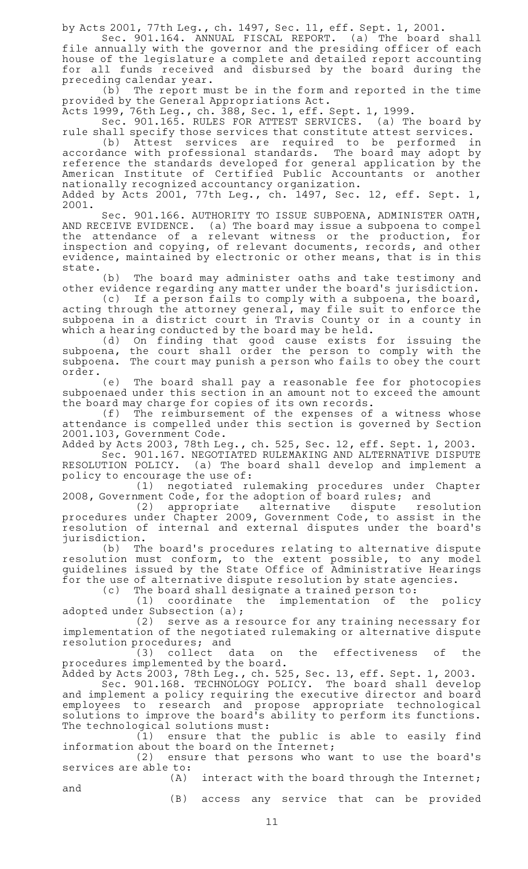by Acts 2001, 77th Leg., ch. 1497, Sec. 11, eff. Sept. 1, 2001.

Sec. 901.164. ANNUAL FISCAL REPORT. (a) The board shall file annually with the governor and the presiding officer of each house of the legislature a complete and detailed report accounting for all funds received and disbursed by the board during the preceding calendar year.

 $(b)$  The report must be in the form and reported in the time provided by the General Appropriations Act.

Acts 1999, 76th Leg., ch. 388, Sec. 1, eff. Sept. 1, 1999.

Sec. 901.165. RULES FOR ATTEST SERVICES. (a) The board by rule shall specify those services that constitute attest services.

(b)  $A$ ttest services are required to be performed in<br>ance with professional standards. The board may adopt by accordance with professional standards. reference the standards developed for general application by the American Institute of Certified Public Accountants or another nationally recognized accountancy organization. Added by Acts 2001, 77th Leg., ch. 1497, Sec. 12, eff. Sept. 1,

2001. Sec. 901.166. AUTHORITY TO ISSUE SUBPOENA, ADMINISTER OATH, AND RECEIVE EVIDENCE. (a)The board may issue a subpoena to compel the attendance of a relevant witness or the production, for inspection and copying, of relevant documents, records, and other evidence, maintained by electronic or other means, that is in this state.

(b) The board may administer oaths and take testimony and other evidence regarding any matter under the board's jurisdiction.

(c) If a person fails to comply with a subpoena, the board, acting through the attorney general, may file suit to enforce the subpoena in a district court in Travis County or in a county in which a hearing conducted by the board may be held.

(d) On finding that good cause exists for issuing the subpoena, the court shall order the person to comply with the subpoena. The court may punish a person who fails to obey the court order.

(e) The board shall pay a reasonable fee for photocopies subpoenaed under this section in an amount not to exceed the amount the board may charge for copies of its own records.

 $(f)$  The reimbursement of the expenses of a witness whose attendance is compelled under this section is governed by Section 2001.103, Government Code.

Added by Acts 2003, 78th Leg., ch. 525, Sec. 12, eff. Sept. 1, 2003.

Sec. 901.167. NEGOTIATED RULEMAKING AND ALTERNATIVE DISPUTE RESOLUTION POLICY. (a) The board shall develop and implement a policy to encourage the use of:

(1) negotiated rulemaking procedures under Chapter 2008, Government Code, for the adoption of board rules; and

(2) appropriate alternative dispute resolution procedures under Chapter 2009, Government Code, to assist in the resolution of internal and external disputes under the board 's jurisdiction.

(b) The board's procedures relating to alternative dispute resolution must conform, to the extent possible, to any model guidelines issued by the State Office of Administrative Hearings for the use of alternative dispute resolution by state agencies.

(c) The board shall designate a trained person to:<br>(1) coordinate the implementation of the

the implementation of the policy adopted under Subsection (a);

(2) serve as a resource for any training necessary for implementation of the negotiated rulemaking or alternative dispute resolution procedures; and

(3) collect data on the effectiveness of the procedures implemented by the board.

Added by Acts 2003, 78th Leg., ch. 525, Sec. 13, eff. Sept. 1, 2003. Sec. 901.168. TECHNOLOGY POLICY. The board shall develop and implement a policy requiring the executive director and board employees to research and propose appropriate technological solutions to improve the board 's ability to perform its functions.

The technological solutions must:<br>(1) ensure that the (1) ensure that the public is able to easily find information about the board on the Internet;

(2) ensure that persons who want to use the board's services are able to:

 $(A)$  interact with the board through the Internet;

and

(B) access any service that can be provided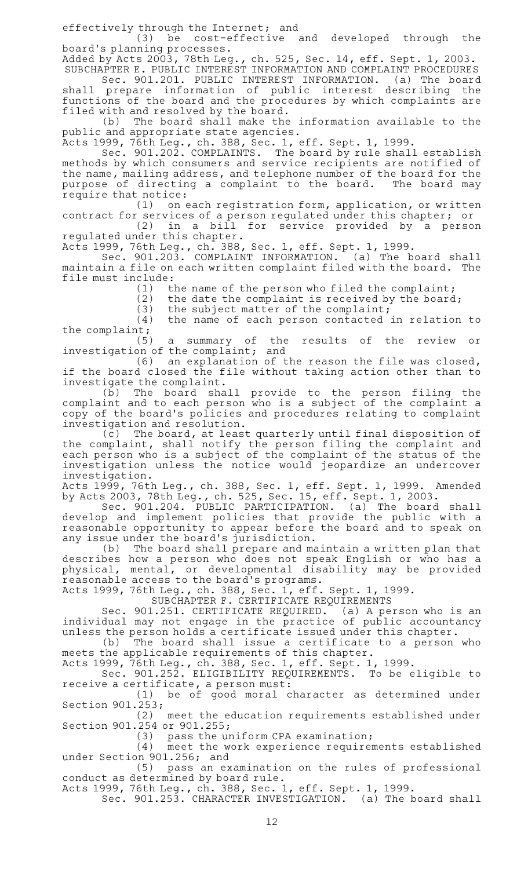effectively through the Internet; and

(3) be cost-effective and developed through the board's planning processes.

Added by Acts 2003, 78th Leg., ch. 525, Sec. 14, eff. Sept. 1, 2003.

SUBCHAPTER E. PUBLIC INTEREST INFORMATION AND COMPLAINT PROCEDURES Sec. 901.201. PUBLIC INTEREST INFORMATION. (a) The board shall prepare information of public interest describing the functions of the board and the procedures by which complaints are filed with and resolved by the board.

(b) The board shall make the information available to the public and appropriate state agencies.

Acts 1999, 76th Leg., ch. 388, Sec. 1, eff. Sept. 1, 1999.

Sec. 901.202. COMPLAINTS. The board by rule shall establish methods by which consumers and service recipients are notified of the name, mailing address, and telephone number of the board for the purpose of directing a complaint to the board. The board may require that notice:

 $(1)$  on each registration form, application, or written contract for services of a person regulated under this chapter; or

 $(2)$  in a bill for service provided by a person regulated under this chapter.

Acts 1999, 76th Leg., ch. 388, Sec. 1, eff. Sept. 1, 1999.

Sec. 901.203. COMPLAINT INFORMATION. (a) The board shall maintain a file on each written complaint filed with the board. The file must include:

(1) the name of the person who filed the complaint;<br>(2) the date the complaint is received by the board

the date the complaint is received by the board;

(3) the subject matter of the complaint;<br>(4) the name of each person contacted

the name of each person contacted in relation to the complaint;

(5) a summary of the results of the review or investigation of the complaint; and

 $(6)$  an explanation of the reason the file was closed, if the board closed the file without taking action other than to investigate the complaint.

(b) The board shall provide to the person filing the complaint and to each person who is a subject of the complaint a copy of the board's policies and procedures relating to complaint investigation and resolution.

(c) The board, at least quarterly until final disposition of the complaint, shall notify the person filing the complaint and each person who is a subject of the complaint of the status of the investigation unless the notice would jeopardize an undercover investigation.

Acts 1999, 76th Leg., ch. 388, Sec. 1, eff. Sept. 1, 1999. Amended by Acts 2003, 78th Leg., ch. 525, Sec. 15, eff. Sept. 1, 2003.

Sec. 901.204. PUBLIC PARTICIPATION. (a) The board shall develop and implement policies that provide the public with a reasonable opportunity to appear before the board and to speak on any issue under the board 's jurisdiction.

(b) The board shall prepare and maintain a written plan that describes how a person who does not speak English or who has a physical, mental, or developmental disability may be provided reasonable access to the board's programs.

Acts 1999, 76th Leg., ch. 388, Sec. 1, eff. Sept. 1, 1999.

SUBCHAPTER F. CERTIFICATE REQUIREMENTS

Sec. 901.251. CERTIFICATE REQUIRED. (a) A person who is an individual may not engage in the practice of public accountancy unless the person holds a certificate issued under this chapter.

(b) The board shall issue a certificate to a person who meets the applicable requirements of this chapter.

Acts 1999, 76th Leg., ch. 388, Sec. 1, eff. Sept. 1, 1999.

Sec. 901.252. ELIGIBILITY REQUIREMENTS. To be eligible to receive a certificate, a person must:

(1) be of good moral character as determined under Section 901.253;

(2) meet the education requirements established under Section 901.254 or 901.255;

 $(3)$  pass the uniform CPA examination;

(4) meet the work experience requirements established under Section 901.256; and

(5) pass an examination on the rules of professional conduct as determined by board rule.

Acts 1999, 76th Leg., ch. 388, Sec. 1, eff. Sept. 1, 1999.

Sec. 901.253. CHARACTER INVESTIGATION. (a) The board shall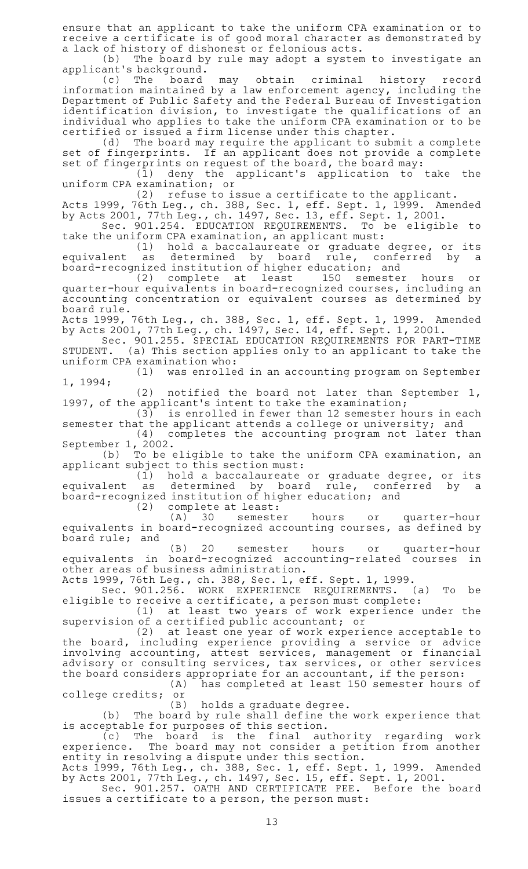ensure that an applicant to take the uniform CPA examination or to receive a certificate is of good moral character as demonstrated by a lack of history of dishonest or felonious acts.

(b) The board by rule may adopt a system to investigate an applicant 's background.

(c)AAThe board may obtain criminal history record information maintained by a law enforcement agency, including the Department of Public Safety and the Federal Bureau of Investigation identification division, to investigate the qualifications of an individual who applies to take the uniform CPA examination or to be

certified or issued a firm license under this chapter.<br>(d) The board may require the applicant to subr The board may require the applicant to submit a complete set of fingerprints. If an applicant does not provide a complete set of fingerprints on request of the board, the board may:

(1) deny the applicant's application to take the uniform CPA examination; or

 $(2)$  refuse to issue a certificate to the applicant.

Acts 1999, 76th Leg., ch. 388, Sec. 1, eff. Sept. 1, 1999. Amended by Acts 2001, 77th Leg., ch. 1497, Sec. 13, eff. Sept. 1, 2001.

Sec. 901.254. EDUCATION REQUIREMENTS. To be eligible to take the uniform CPA examination, an applicant must:

(1) hold a baccalaureate or graduate degree, or its equivalent as determined by board rule, conferred by a board-recognized institution of higher education; and

(2) complete at least 150 semester hours or quarter-hour equivalents in board-recognized courses, including an accounting concentration or equivalent courses as determined by board rule.

Acts 1999, 76th Leg., ch. 388, Sec. 1, eff. Sept. 1, 1999. Amended by Acts 2001, 77th Leg., ch. 1497, Sec. 14, eff. Sept. 1, 2001.

Sec. 901.255. SPECIAL EDUCATION REQUIREMENTS FOR PART-TIME STUDENT. (a) This section applies only to an applicant to take the uniform CPA examination who:<br>(1) was enrolle

was enrolled in an accounting program on September 1, 1994;

(2) notified the board not later than September 1, 1997, of the applicant 's intent to take the examination;

(3) is enrolled in fewer than 12 semester hours in each semester that the applicant attends a college or university; and

 $(4)$  completes the accounting program not later than September 1, 2002.

(b) To be eligible to take the uniform CPA examination, an applicant subject to this section must:

 $(1)$  hold a baccalaureate or graduate degree, or its equivalent as determined by board rule, conferred by a board-recognized institution of higher education; and

(2) complete at least:

(A) 30 semester hours or quarter-hour equivalents in board-recognized accounting courses, as defined by board rule; and

(B) 20 semester hours or quarter-hour equivalents in board-recognized accounting-related courses in other areas of business administration.

Acts 1999, 76th Leg., ch. 388, Sec. 1, eff. Sept. 1, 1999.

Sec. 901.256. WORK EXPERIENCE REQUIREMENTS. (a) To be eligible to receive a certificate, a person must complete:

(1) at least two years of work experience under the supervision of a certified public accountant; or

(2) at least one year of work experience acceptable to the board, including experience providing a service or advice involving accounting, attest services, management or financial advisory or consulting services, tax services, or other services the board considers appropriate for an accountant, if the person:<br>(A) has completed at least 150 semester hours

has completed at least 150 semester hours of college credits; or

holds a graduate degree.

 $(b)$  The board by rule shall define the work experience that is acceptable for purposes of this section.

(c) The board is the final authority regarding work experience. The board may not consider a petition from another entity in resolving a dispute under this section.

Acts 1999, 76th Leg., ch. 388, Sec. 1, eff. Sept. 1, 1999. Amended by Acts 2001, 77th Leg., ch. 1497, Sec. 15, eff. Sept. 1, 2001.

Sec. 901.257. OATH AND CERTIFICATE FEE. Before the board issues a certificate to a person, the person must: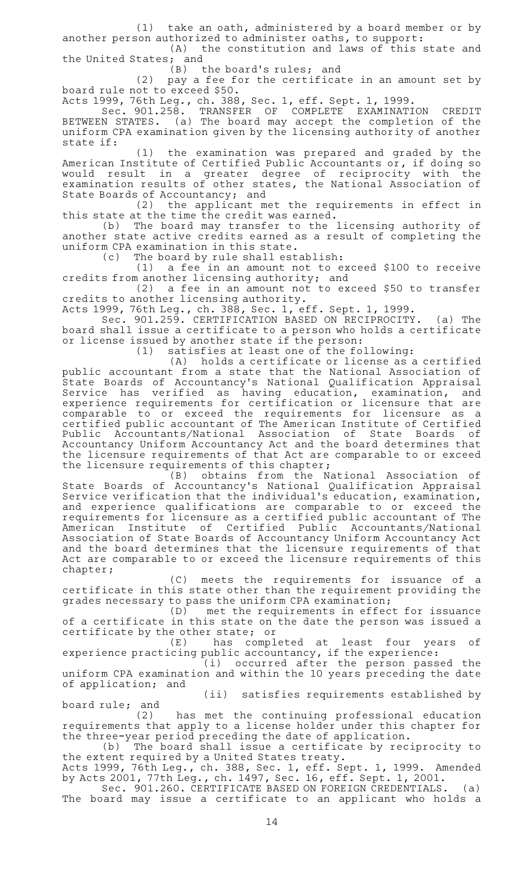$(1)$  take an oath, administered by a board member or by another person authorized to administer oaths, to support:

 $(A)$  the constitution and laws of this state and the United States; and<br>(B) t

the board's rules; and

 $(2)$  pay a fee for the certificate in an amount set by board rule not to exceed \$50.

Acts 1999, 76th Leg., ch. 388, Sec. 1, eff. Sept. 1, 1999.

Sec. 901.258. TRANSFER OF COMPLETE EXAMINATION CREDIT BETWEEN STATES. (a) The board may accept the completion of the uniform CPA examination given by the licensing authority of another state if:

(1) the examination was prepared and graded by the American Institute of Certified Public Accountants or, if doing so would result in a greater degree of reciprocity with the examination results of other states, the National Association of State Boards of Accountancy; and

 $(2)$  the applicant met the requirements in effect in this state at the time the credit was earned.

(b) The board may transfer to the licensing authority of another state active credits earned as a result of completing the uniform CPA examination in this state.

(c) The board by rule shall establish:

 $(1)$  a fee in an amount not to exceed \$100 to receive credits from another licensing authority; and

 $(2)$  a fee in an amount not to exceed \$50 to transfer credits to another licensing authority.

Acts 1999, 76th Leg., ch. 388, Sec. 1, eff. Sept. 1, 1999.

Sec. 901.259. CERTIFICATION BASED ON RECIPROCITY. (a) The board shall issue a certificate to a person who holds a certificate or license issued by another state if the person:

 $(1)$  satisfies at least one of the following:

(A) holds a certificate or license as a certified public accountant from a state that the National Association of State Boards of Accountancy 's National Qualification Appraisal Service has verified as having education, examination, and experience requirements for certification or licensure that are comparable to or exceed the requirements for licensure as a certified public accountant of The American Institute of Certified Public Accountants/National Association of State Boards of Accountancy Uniform Accountancy Act and the board determines that the licensure requirements of that Act are comparable to or exceed the licensure requirements of this chapter;

(B) obtains from the National Association of State Boards of Accountancy 's National Qualification Appraisal Service verification that the individual 's education, examination, and experience qualifications are comparable to or exceed the requirements for licensure as a certified public accountant of The American Institute of Certified Public Accountants/National Association of State Boards of Accountancy Uniform Accountancy Act and the board determines that the licensure requirements of that Act are comparable to or exceed the licensure requirements of this chapter;

(C) meets the requirements for issuance of a certificate in this state other than the requirement providing the grades necessary to pass the uniform CPA examination;<br>(D) met the requirements in effec

met the requirements in effect for issuance of a certificate in this state on the date the person was issued a certificate by the other state; or

(E) has completed at least four years of experience practicing public accountancy, if the experience:

 $(1)$  occurred after the person passed the uniform CPA examination and within the 10 years preceding the date of application; and

(ii) satisfies requirements established by board rule; and

(2) has met the continuing professional education requirements that apply to a license holder under this chapter for the three-year period preceding the date of application.

(b) The board shall issue a certificate by reciprocity to the extent required by a United States treaty.

Acts 1999, 76th Leg., ch. 388, Sec. 1, eff. Sept. 1, 1999. Amended by Acts 2001, 77th Leg., ch. 1497, Sec. 16, eff. Sept. 1, 2001.

Sec. 901.260. CERTIFICATE BASED ON FOREIGN CREDENTIALS. (a) The board may issue a certificate to an applicant who holds a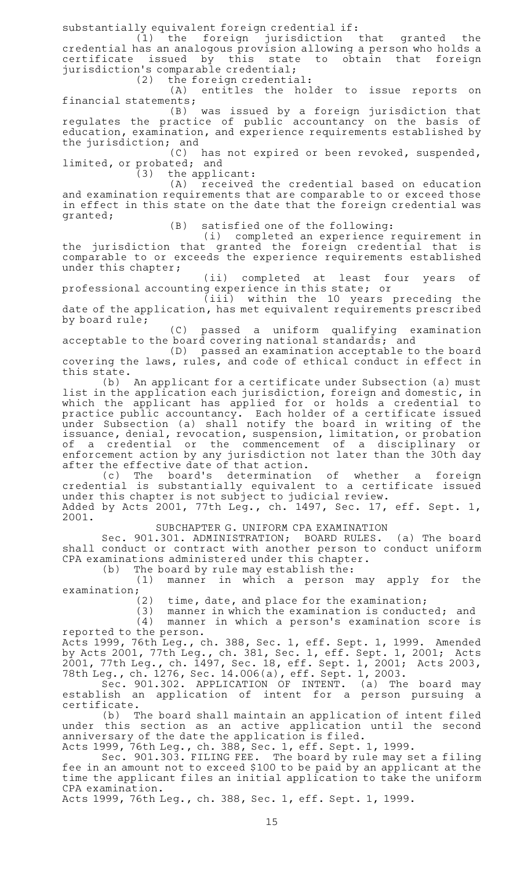substantially equivalent foreign credential if:

 $(1)$  the foreign jurisdiction that granted the credential has an analogous provision allowing a person who holds a certificate issued by this state to obtain that foreign jurisdiction's comparable credential;

 $(2)$  the foreign credential:

(A) entitles the holder to issue reports on financial statements;

(B) was issued by a foreign jurisdiction that regulates the practice of public accountancy on the basis of education, examination, and experience requirements established by the jurisdiction; and

(C) has not expired or been revoked, suspended, limited, or probated; and

 $(3)$  the applicant:

 $(A)$  received the credential based on education and examination requirements that are comparable to or exceed those in effect in this state on the date that the foreign credential was granted;

 $(B)$  satisfied one of the following:

(i) completed an experience requirement in the jurisdiction that granted the foreign credential that is comparable to or exceeds the experience requirements established under this chapter;

(ii) completed at least four years of professional accounting experience in this state; or

(iii) within the 10 years preceding the date of the application, has met equivalent requirements prescribed by board rule;

(C) passed a uniform qualifying examination acceptable to the board covering national standards; and

(D) passed an examination acceptable to the board covering the laws, rules, and code of ethical conduct in effect in this state.

(b) An applicant for a certificate under Subsection (a) must list in the application each jurisdiction, foreign and domestic, in which the applicant has applied for or holds a credential to practice public accountancy. Each holder of a certificate issued under Subsection (a) shall notify the board in writing of the issuance, denial, revocation, suspension, limitation, or probation of a credential or the commencement of a disciplinary or enforcement action by any jurisdiction not later than the 30th day after the effective date of that action.

(c) The board's determination of whether a foreign credential is substantially equivalent to a certificate issued under this chapter is not subject to judicial review.

Added by Acts 2001, 77th Leg., ch. 1497, Sec. 17, eff. Sept. 1, 2001.

SUBCHAPTER G. UNIFORM CPA EXAMINATION

Sec. 901.301. ADMINISTRATION; BOARD RULES. (a) The board shall conduct or contract with another person to conduct uniform CPA examinations administered under this chapter.

 $(b)$  The board by rule may establish the:

 $(1)$  manner in which a person may apply for the examination;<br>(2)

time, date, and place for the examination;

 $(3)$  manner in which the examination is conducted; and (4) manner in which a person's examination score is reported to the person.

Acts 1999, 76th Leg., ch. 388, Sec. 1, eff. Sept. 1, 1999. Amended by Acts 2001, 77th Leg., ch. 381, Sec. 1, eff. Sept. 1, 2001; Acts 2001, 77th Leg., ch. 1497, Sec. 18, eff. Sept. 1, 2001; Acts 2003, 78th Leg., ch. 1276, Sec. 14.006(a), eff. Sept. 1, 2003.

Sec. 901.302. APPLICATION OF INTENT. (a) The board may establish an application of intent for a person pursuing a certificate.

(b) The board shall maintain an application of intent filed under this section as an active application until the second anniversary of the date the application is filed.

Acts 1999, 76th Leg., ch. 388, Sec. 1, eff. Sept. 1, 1999.

Sec. 901.303. FILING FEE. The board by rule may set a filing fee in an amount not to exceed \$100 to be paid by an applicant at the time the applicant files an initial application to take the uniform CPA examination.

Acts 1999, 76th Leg., ch. 388, Sec. 1, eff. Sept. 1, 1999.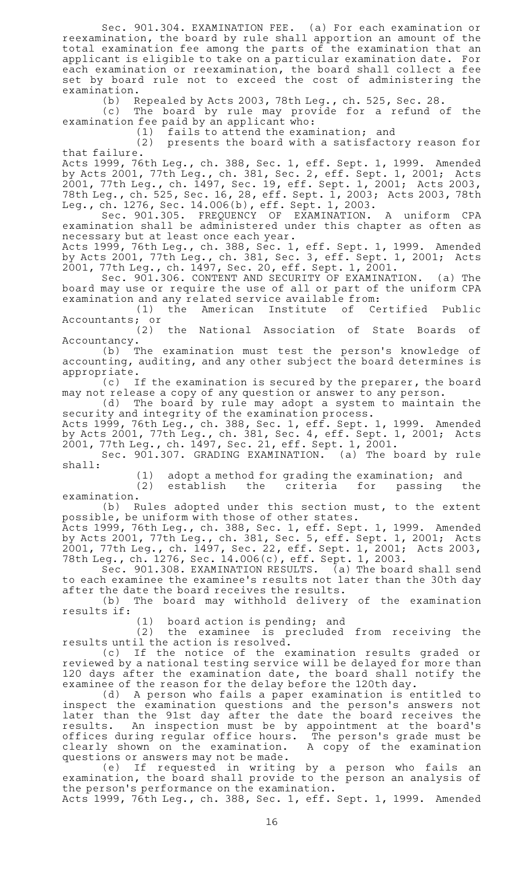Sec. 901.304. EXAMINATION FEE. (a) For each examination or reexamination, the board by rule shall apportion an amount of the total examination fee among the parts of the examination that an applicant is eligible to take on a particular examination date. For each examination or reexamination, the board shall collect a fee set by board rule not to exceed the cost of administering the examination.

(b) Repealed by Acts 2003, 78th Leg., ch. 525, Sec. 28.

(c) The board by rule may provide for a refund of the examination fee paid by an applicant who:

 $(1)$  fails to attend the examination; and

 $(2)$  presents the board with a satisfactory reason for that failure.

Acts 1999, 76th Leg., ch. 388, Sec. 1, eff. Sept. 1, 1999. Amended by Acts 2001, 77th Leg., ch. 381, Sec. 2, eff. Sept. 1, 2001; Acts 2001, 77th Leg., ch. 1497, Sec. 19, eff. Sept. 1, 2001; Acts 2003, 78th Leg., ch. 525, Sec. 16, 28, eff. Sept. 1, 2003; Acts 2003, 78th Leg., ch. 1276, Sec. 14.006(b), eff. Sept. 1, 2003.

Sec. 901.305. FREQUENCY OF EXAMINATION. A uniform CPA examination shall be administered under this chapter as often as necessary but at least once each year.

Acts 1999, 76th Leg., ch. 388, Sec. 1, eff. Sept. 1, 1999. Amended by Acts 2001, 77th Leg., ch. 381, Sec. 3, eff. Sept. 1, 2001; Acts 2001, 77th Leg., ch. 1497, Sec. 20, eff. Sept. 1, 2001.

Sec. 901.306. CONTENT AND SECURITY OF EXAMINATION. (a) The board may use or require the use of all or part of the uniform CPA examination and any related service available from:<br>(1) the American Institute of Certified

(1) the American Institute of Certified Public Accountants; or

 $(2)$  the National Association of State Boards of Accountancy.

(b) The examination must test the person's knowledge of accounting, auditing, and any other subject the board determines is appropriate.

(c) If the examination is secured by the preparer, the board may not release a copy of any question or answer to any person.

(d) The board by rule may adopt a system to maintain the security and integrity of the examination process.

Acts 1999, 76th Leg., ch. 388, Sec. 1, eff. Sept. 1, 1999. Amended by Acts 2001, 77th Leg., ch. 381, Sec. 4, eff. Sept. 1, 2001; Acts 2001, 77th Leg., ch. 1497, Sec. 21, eff. Sept. 1, 2001.

Sec. 901.307. GRADING EXAMINATION. (a) The board by rule shall:

(1) adopt a method for grading the examination; and<br>(2) establish the criteria for passing

establish the criteria for passing the examination.

 $(b)$  Rules adopted under this section must, to the extent possible, be uniform with those of other states.

Acts 1999, 76th Leg., ch. 388, Sec. 1, eff. Sept. 1, 1999. Amended by Acts 2001, 77th Leg., ch. 381, Sec. 5, eff. Sept. 1, 2001; Acts 2001, 77th Leg., ch. 1497, Sec. 22, eff. Sept. 1, 2001; Acts 2003, 78th Leg., ch. 1276, Sec. 14.006(c), eff. Sept. 1, 2003.

Sec. 901.308. EXAMINATION RESULTS. (a) The board shall send to each examinee the examinee 's results not later than the 30th day after the date the board receives the results.

(b) The board may withhold delivery of the examination results if:

(1) board action is pending; and<br>(2) the examinee is precluded

the examinee is precluded from receiving the results until the action is resolved.

(c) If the notice of the examination results graded or reviewed by a national testing service will be delayed for more than 120 days after the examination date, the board shall notify the examinee of the reason for the delay before the 120th day.

(d) A person who fails a paper examination is entitled to inspect the examination questions and the person's answers not later than the 91st day after the date the board receives the results. An inspection must be by appointment at the board's offices during regular office hours. The person 's grade must be clearly shown on the examination. A copy of the examination questions or answers may not be made.

(e) If requested in writing by a person who fails an examination, the board shall provide to the person an analysis of the person 's performance on the examination.

Acts 1999, 76th Leg., ch. 388, Sec. 1, eff. Sept. 1, 1999. Amended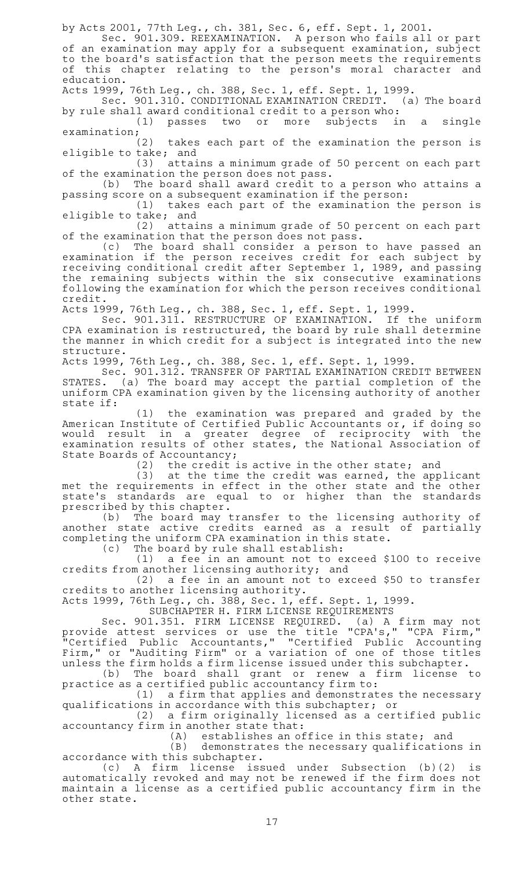by Acts 2001, 77th Leg., ch. 381, Sec. 6, eff. Sept. 1, 2001.

Sec. 901.309. REEXAMINATION. A person who fails all or part of an examination may apply for a subsequent examination, subject to the board 's satisfaction that the person meets the requirements of this chapter relating to the person's moral character and education.

Acts 1999, 76th Leg., ch. 388, Sec. 1, eff. Sept. 1, 1999.

Sec. 901.310. CONDITIONAL EXAMINATION CREDIT. (a) The board by rule shall award conditional credit to a person who:

 $(1)$  passes two or more subjects in a single

examination;<br>(2) takes each part of the examination the person is eligible to take; and

(3) attains a minimum grade of 50 percent on each part of the examination the person does not pass.

(b) The board shall award credit to a person who attains a passing score on a subsequent examination if the person:

 $(1)$  takes each part of the examination the person is eligible to take; and

(2) attains a minimum grade of 50 percent on each part of the examination that the person does not pass.

(c) The board shall consider a person to have passed an examination if the person receives credit for each subject by receiving conditional credit after September 1, 1989, and passing the remaining subjects within the six consecutive examinations following the examination for which the person receives conditional credit.

Acts 1999, 76th Leg., ch. 388, Sec. 1, eff. Sept. 1, 1999.

Sec. 901.311. RESTRUCTURE OF EXAMINATION. If the uniform CPA examination is restructured, the board by rule shall determine the manner in which credit for a subject is integrated into the new structure.

Acts 1999, 76th Leg., ch. 388, Sec. 1, eff. Sept. 1, 1999.

Sec. 901.312. TRANSFER OF PARTIAL EXAMINATION CREDIT BETWEEN STATES. (a) The board may accept the partial completion of the uniform CPA examination given by the licensing authority of another state if:

(1) the examination was prepared and graded by the American Institute of Certified Public Accountants or, if doing so would result in a greater degree of reciprocity with the examination results of other states, the National Association of State Boards of Accountancy;

 $(2)$  the credit is active in the other state; and

(3) at the time the credit was earned, the applicant met the requirements in effect in the other state and the other state 's standards are equal to or higher than the standards prescribed by this chapter.

(b) The board may transfer to the licensing authority of another state active credits earned as a result of partially completing the uniform CPA examination in this state.

(c) The board by rule shall establish:

 $(1)$  a fee in an amount not to exceed \$100 to receive credits from another licensing authority; and

(2) a fee in an amount not to exceed \$50 to transfer credits to another licensing authority.

Acts 1999, 76th Leg., ch. 388, Sec. 1, eff. Sept. 1, 1999.

SUBCHAPTER H. FIRM LICENSE REQUIREMENTS

Sec. 901.351. FIRM LICENSE REQUIRED. (a) A firm may not provide attest services or use the title "CPA's," "CPA Firm," "Certified Public Accountants," "Certified Public Accounting Firm," or "Auditing Firm" or a variation of one of those titles unless the firm holds a firm license issued under this subchapter.

(b) The board shall grant or renew a firm license to practice as a certified public accountancy firm to:

 $(1)$  a firm that applies and demonstrates the necessary qualifications in accordance with this subchapter; or

(2) a firm originally licensed as a certified public accountancy firm in another state that:

 $(A)$  establishes an office in this state; and

(B) demonstrates the necessary qualifications in accordance with this subchapter.

(c)AAA firm license issued under Subsection (b)(2) is automatically revoked and may not be renewed if the firm does not maintain a license as a certified public accountancy firm in the other state.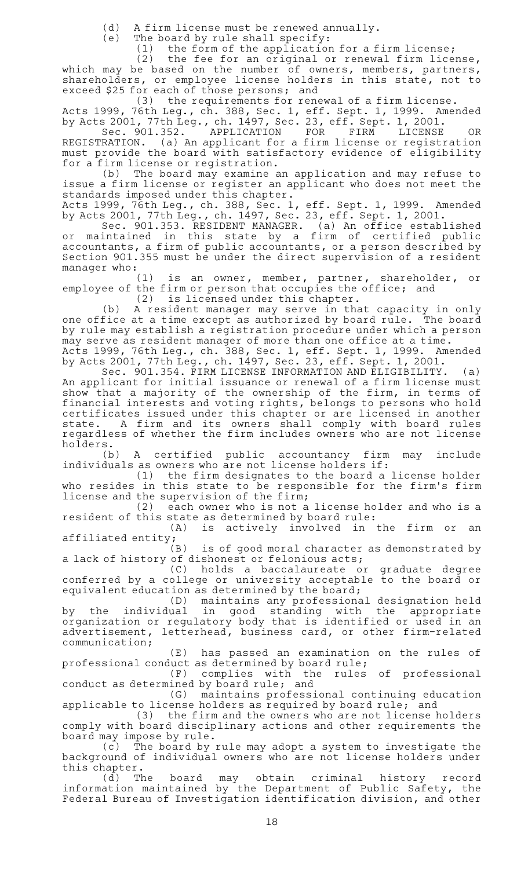(d) A firm license must be renewed annually.<br>(e) The board by rule shall specify:

The board by rule shall specify:

 $(1)$  the form of the application for a firm license;

 $(2)$  the fee for an original or renewal firm license, which may be based on the number of owners, members, partners, shareholders, or employee license holders in this state, not to exceed \$25 for each of those persons; and

 $(3)$  the requirements for renewal of a firm license.

Acts 1999, 76th Leg., ch. 388, Sec. 1, eff. Sept. 1, 1999. Amended by Acts 2001, 77th Leg., ch. 1497, Sec. 23, eff. Sept. 1, 2001.

Sec. 901.352. APPLICATION FOR FIRM LICENSE OR REGISTRATION. (a) An applicant for a firm license or registration must provide the board with satisfactory evidence of eligibility for a firm license or registration.

(b) The board may examine an application and may refuse to issue a firm license or register an applicant who does not meet the standards imposed under this chapter.

Acts 1999, 76th Leg., ch. 388, Sec. 1, eff. Sept. 1, 1999. Amended by Acts 2001, 77th Leg., ch. 1497, Sec. 23, eff. Sept. 1, 2001.

Sec. 901.353. RESIDENT MANAGER. (a) An office established or maintained in this state by a firm of certified public accountants, a firm of public accountants, or a person described by Section 901.355 must be under the direct supervision of a resident manager who:

(1) is an owner, member, partner, shareholder, or employee of the firm or person that occupies the office; and

 $(2)$  is licensed under this chapter.

(b) A resident manager may serve in that capacity in only one office at a time except as authorized by board rule. The board by rule may establish a registration procedure under which a person may serve as resident manager of more than one office at a time.

Acts 1999, 76th Leg., ch. 388, Sec. 1, eff. Sept. 1, 1999. Amended by Acts 2001, 77th Leg., ch. 1497, Sec. 23, eff. Sept. 1, 2001.

Sec. 901.354. FIRM LICENSE INFORMATION AND ELIGIBILITY. (a) An applicant for initial issuance or renewal of a firm license must show that a majority of the ownership of the firm, in terms of financial interests and voting rights, belongs to persons who hold certificates issued under this chapter or are licensed in another state. A firm and its owners shall comply with board rules regardless of whether the firm includes owners who are not license holders.

(b) A certified public accountancy firm may include individuals as owners who are not license holders if:

(1) the firm designates to the board a license holder who resides in this state to be responsible for the firm 's firm license and the supervision of the firm;

 $(2)$  each owner who is not a license holder and who is a resident of this state as determined by board rule:<br>(A) is actively involved in

is actively involved in the firm or an affiliated entity;<br> $(B)$ 

is of good moral character as demonstrated by a lack of history of dishonest or felonious acts;

(C) holds a baccalaureate or graduate degree conferred by a college or university acceptable to the board or equivalent education as determined by the board;

(D) maintains any professional designation held by the individual in good standing with the appropriate organization or regulatory body that is identified or used in an advertisement, letterhead, business card, or other firm-related communication;

(E) has passed an examination on the rules of professional conduct as determined by board rule;

(F) complies with the rules of professional conduct as determined by board rule; and

(G) maintains professional continuing education applicable to license holders as required by board rule; and

(3) the firm and the owners who are not license holders comply with board disciplinary actions and other requirements the board may impose by rule.

(c) The board by rule may adopt a system to investigate the background of individual owners who are not license holders under this chapter.

(d) The board may obtain criminal history record information maintained by the Department of Public Safety, the Federal Bureau of Investigation identification division, and other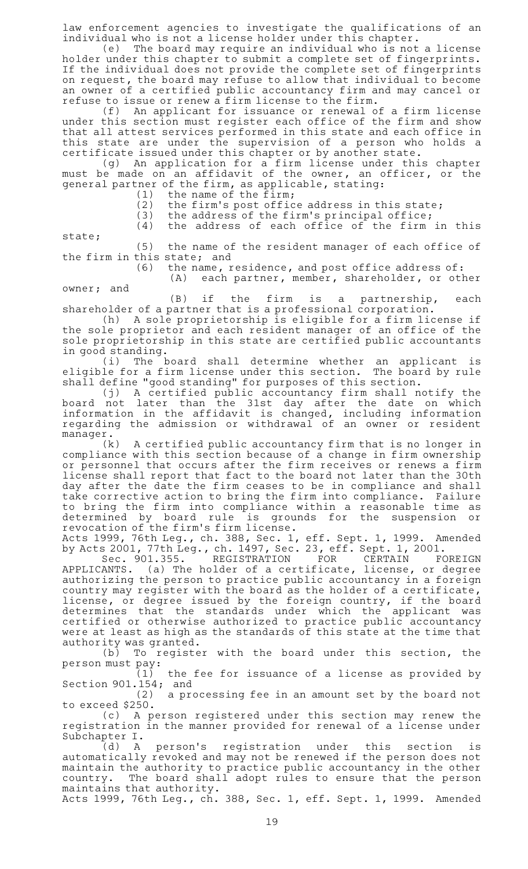law enforcement agencies to investigate the qualifications of an individual who is not a license holder under this chapter.

(e) The board may require an individual who is not a license holder under this chapter to submit a complete set of fingerprints. If the individual does not provide the complete set of fingerprints on request, the board may refuse to allow that individual to become an owner of a certified public accountancy firm and may cancel or refuse to issue or renew a firm license to the firm.

(f) An applicant for issuance or renewal of a firm license under this section must register each office of the firm and show that all attest services performed in this state and each office in this state are under the supervision of a person who holds a certificate issued under this chapter or by another state.

(g) An application for a firm license under this chapter must be made on an affidavit of the owner, an officer, or the general partner of the firm, as applicable, stating:

 $(1)$  the name of the firm;

 $(2)$  the firm's post office address in this state;

(3) the address of the firm's principal office;<br>(4) the address of each office of the firm the address of each office of the firm in this

state;

(5) the name of the resident manager of each office of the firm in this state; and

(6) the name, residence, and post office address of:

 $(A)$  each partner, member, shareholder, or other owner; and

 $(B)$  if the firm is a partnership, each shareholder of a partner that is a professional corporation.

(h) A sole proprietorship is eligible for a firm license if the sole proprietor and each resident manager of an office of the sole proprietorship in this state are certified public accountants in good standing.

(i) The board shall determine whether an applicant is eligible for a firm license under this section. The board by rule shall define "good standing" for purposes of this section.

(j)AAA certified public accountancy firm shall notify the board not later than the 31st day after the date on which information in the affidavit is changed, including information regarding the admission or withdrawal of an owner or resident manager.

(k) A certified public accountancy firm that is no longer in compliance with this section because of a change in firm ownership or personnel that occurs after the firm receives or renews a firm license shall report that fact to the board not later than the 30th day after the date the firm ceases to be in compliance and shall take corrective action to bring the firm into compliance. Failure to bring the firm into compliance within a reasonable time as determined by board rule is grounds for the suspension or revocation of the firm 's firm license.

Acts 1999, 76th Leg., ch. 388, Sec. 1, eff. Sept. 1, 1999. Amended by Acts 2001, 77th Leg., ch. 1497, Sec. 23, eff. Sept. 1, 2001.

Sec. 901.355. REGISTRATION FOR CERTAIN FOREIGN APPLICANTS.  $\,$  (a) The holder of a certificate, license, or degree authorizing the person to practice public accountancy in a foreign country may register with the board as the holder of a certificate, license, or degree issued by the foreign country, if the board determines that the standards under which the applicant was certified or otherwise authorized to practice public accountancy were at least as high as the standards of this state at the time that authority was granted.

(b) To register with the board under this section, the person must pay:

(1) the fee for issuance of a license as provided by Section 901.154; and

 $(2)$  a processing fee in an amount set by the board not to exceed \$250.

(c)AAA person registered under this section may renew the registration in the manner provided for renewal of a license under Subchapter I.

(d)AAA person 's registration under this section is automatically revoked and may not be renewed if the person does not maintain the authority to practice public accountancy in the other country. The board shall adopt rules to ensure that the person maintains that authority.

Acts 1999, 76th Leg., ch. 388, Sec. 1, eff. Sept. 1, 1999. Amended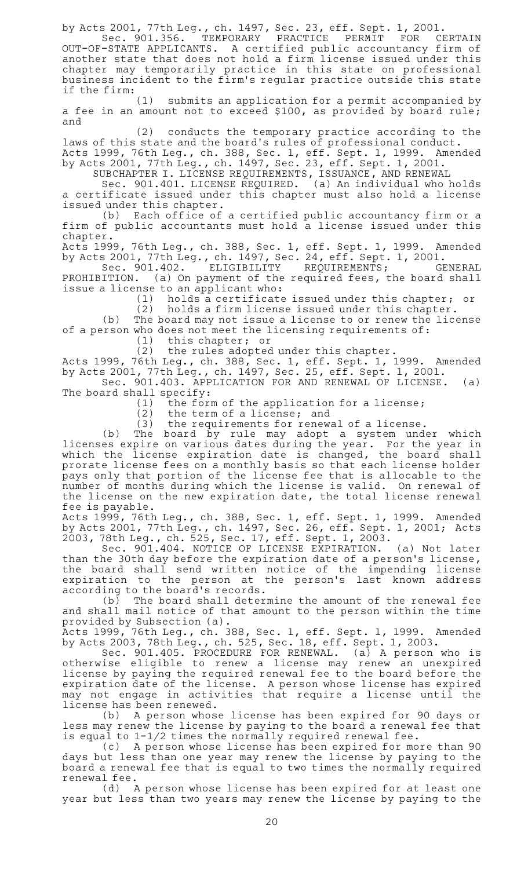by Acts 2001, 77th Leg., ch. 1497, Sec. 23, eff. Sept. 1, 2001.<br>Sec. 901.356. TEMPORARY PRACTICE PERMIT FOR CH

TEMPORARY PRACTICE PERMIT FOR CERTAIN OUT-OF-STATE APPLICANTS. A certified public accountancy firm of another state that does not hold a firm license issued under this chapter may temporarily practice in this state on professional business incident to the firm 's regular practice outside this state if the firm:

 $(1)$  submits an application for a permit accompanied by a fee in an amount not to exceed \$100, as provided by board rule; and

(2) conducts the temporary practice according to the laws of this state and the board's rules of professional conduct. Acts 1999, 76th Leg., ch. 388, Sec. 1, eff. Sept. 1, 1999. Amended by Acts 2001, 77th Leg., ch. 1497, Sec. 23, eff. Sept. 1, 2001.

SUBCHAPTER I. LICENSE REQUIREMENTS, ISSUANCE, AND RENEWAL

Sec. 901.401. LICENSE REQUIRED. (a) An individual who holds a certificate issued under this chapter must also hold a license issued under this chapter.

(b) Each office of a certified public accountancy firm or a firm of public accountants must hold a license issued under this chapter.

Acts 1999, 76th Leg., ch. 388, Sec. 1, eff. Sept. 1, 1999. Amended by Acts 2001, 77th Leg., ch. 1497, Sec. 24, eff. Sept. 1, 2001.

Sec. 901.402. ELIGIBILITY REQUIREMENTS; GENERAL PROHIBITION. (a) On payment of the required fees, the board shall issue a license to an applicant who:<br>(1) holds a certificate

holds a certificate issued under this chapter; or (2) holds a firm license issued under this chapter.

(b) The board may not issue a license to or renew the license of a person who does not meet the licensing requirements of:

 $(1)$  this chapter; or

(2) the rules adopted under this chapter.

Acts 1999, 76th Leg., ch. 388, Sec. 1, eff. Sept. 1, 1999. Amended by Acts 2001, 77th Leg., ch. 1497, Sec. 25, eff. Sept. 1, 2001.

Sec. 901.403. APPLICATION FOR AND RENEWAL OF LICENSE. (a) The board shall specify:

 $(1)$  the form of the application for a license;

 $(2)$  the term of a license; and

 $(3)$  the requirements for renewal of a license.

(b) The board by rule may adopt a system under which licenses expire on various dates during the year. For the year in which the license expiration date is changed, the board shall prorate license fees on a monthly basis so that each license holder pays only that portion of the license fee that is allocable to the number of months during which the license is valid. On renewal of the license on the new expiration date, the total license renewal fee is payable.

Acts 1999, 76th Leg., ch. 388, Sec. 1, eff. Sept. 1, 1999. Amended by Acts 2001, 77th Leg., ch. 1497, Sec. 26, eff. Sept. 1, 2001; Acts 2003, 78th Leg., ch. 525, Sec. 17, eff. Sept. 1, 2003.

Sec. 901.404. NOTICE OF LICENSE EXPIRATION. (a) Not later than the 30th day before the expiration date of a person's license, the board shall send written notice of the impending license expiration to the person at the person's last known address according to the board's records.

 $(b)$  The board shall determine the amount of the renewal fee and shall mail notice of that amount to the person within the time provided by Subsection (a).

Acts 1999, 76th Leg., ch. 388, Sec. 1, eff. Sept. 1, 1999. Amended by Acts 2003, 78th Leg., ch. 525, Sec. 18, eff. Sept. 1, 2003.

Sec. 901.405. PROCEDURE FOR RENEWAL. (a) A person who is otherwise eligible to renew a license may renew an unexpired license by paying the required renewal fee to the board before the expiration date of the license. A person whose license has expired may not engage in activities that require a license until the license has been renewed.

(b) A person whose license has been expired for 90 days or less may renew the license by paying to the board a renewal fee that is equal to 1-1/2 times the normally required renewal fee.

(c) A person whose license has been expired for more than 90 days but less than one year may renew the license by paying to the board a renewal fee that is equal to two times the normally required renewal fee.

(d) A person whose license has been expired for at least one year but less than two years may renew the license by paying to the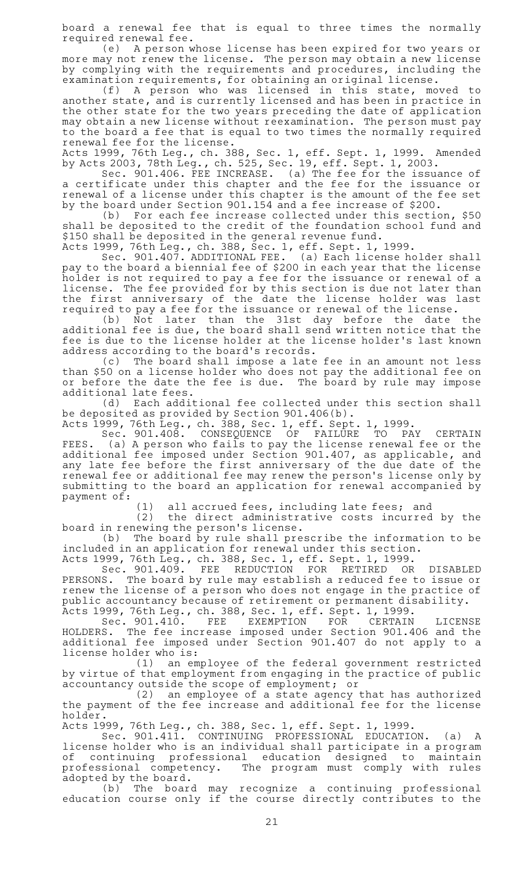board a renewal fee that is equal to three times the normally required renewal fee.

(e) A person whose license has been expired for two years or more may not renew the license. The person may obtain a new license by complying with the requirements and procedures, including the examination requirements, for obtaining an original license.

(f)AAA person who was licensed in this state, moved to another state, and is currently licensed and has been in practice in the other state for the two years preceding the date of application may obtain a new license without reexamination. The person must pay to the board a fee that is equal to two times the normally required renewal fee for the license.

Acts 1999, 76th Leg., ch. 388, Sec. 1, eff. Sept. 1, 1999. Amended by Acts 2003, 78th Leg., ch. 525, Sec. 19, eff. Sept. 1, 2003.

Sec. 901.406. FEE INCREASE. (a) The fee for the issuance of a certificate under this chapter and the fee for the issuance or renewal of a license under this chapter is the amount of the fee set by the board under Section 901.154 and a fee increase of \$200.

(b) For each fee increase collected under this section,  $$50$ shall be deposited to the credit of the foundation school fund and \$150 shall be deposited in the general revenue fund.

Acts 1999, 76th Leg., ch. 388, Sec. 1, eff. Sept. 1, 1999.

Sec. 901.407. ADDITIONAL FEE. (a) Each license holder shall pay to the board a biennial fee of \$200 in each year that the license holder is not required to pay a fee for the issuance or renewal of a license. The fee provided for by this section is due not later than the first anniversary of the date the license holder was last required to pay a fee for the issuance or renewal of the license.

(b) Not later than the 31st day before the date the additional fee is due, the board shall send written notice that the fee is due to the license holder at the license holder 's last known address according to the board's records.

(c) The board shall impose a late fee in an amount not less than \$50 on a license holder who does not pay the additional fee on or before the date the fee is due. The board by rule may impose additional late fees.

(d) Each additional fee collected under this section shall be deposited as provided by Section 901.406(b).

Acts 1999, 76th Leg., ch. 388, Sec. 1, eff. Sept. 1, 1999.

Sec. 901.408. CONSEQUENCE OF FAILURE TO PAY CERTAIN FEES. (a) A person who fails to pay the license renewal fee or the additional fee imposed under Section 901.407, as applicable, and any late fee before the first anniversary of the due date of the renewal fee or additional fee may renew the person 's license only by submitting to the board an application for renewal accompanied by payment of:

(1) all accrued fees, including late fees; and

(2) the direct administrative costs incurred by the board in renewing the person 's license.

(b) The board by rule shall prescribe the information to be included in an application for renewal under this section. Acts 1999, 76th Leg., ch. 388, Sec. 1, eff. Sept. 1, 1999.

Sec. 901.409. FEE REDUCTION FOR RETIRED OR DISABLED PERSONS. The board by rule may establish a reduced fee to issue or renew the license of a person who does not engage in the practice of public accountancy because of retirement or permanent disability. Acts 1999, 76th Leg., ch. 388, Sec. 1, eff. Sept. 1, 1999.

Sec. 901.410. FEE EXEMPTION FOR CERTAIN LICENSE HOLDERS. The fee increase imposed under Section 901.406 and the additional fee imposed under Section 901.407 do not apply to a license holder who is:

(1) an employee of the federal government restricted by virtue of that employment from engaging in the practice of public accountancy outside the scope of employment; or

(2) an employee of a state agency that has authorized the payment of the fee increase and additional fee for the license holder.

Acts 1999, 76th Leg., ch. 388, Sec. 1, eff. Sept. 1, 1999.

Sec. 901.411. CONTINUING PROFESSIONAL EDUCATION. (a) A license holder who is an individual shall participate in a program of continuing professional education designed to maintain professional competency. The program must comply with rules adopted by the board.

(b) The board may recognize a continuing professional education course only if the course directly contributes to the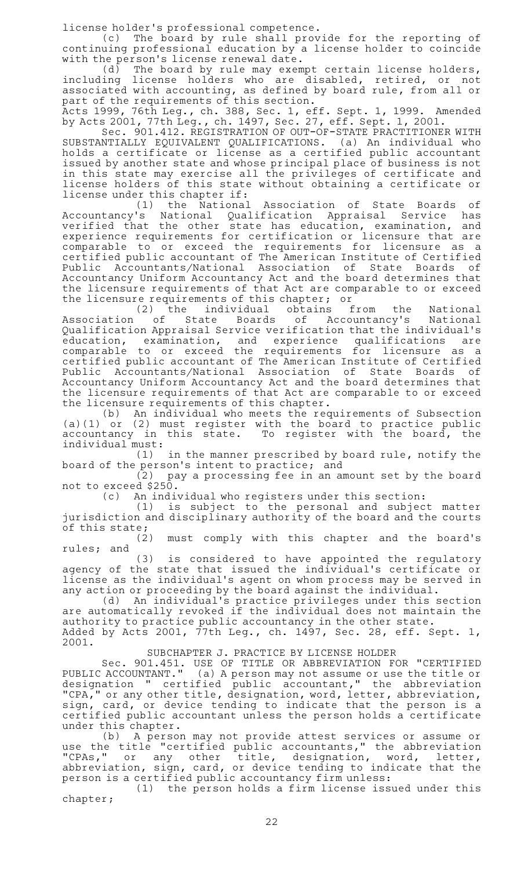license holder 's professional competence.

(c) The board by rule shall provide for the reporting of continuing professional education by a license holder to coincide with the person's license renewal date.

(d) The board by rule may exempt certain license holders, including license holders who are disabled, retired, or not associated with accounting, as defined by board rule, from all or part of the requirements of this section.

Acts 1999, 76th Leg., ch. 388, Sec. 1, eff. Sept. 1, 1999. Amended by Acts 2001, 77th Leg., ch. 1497, Sec. 27, eff. Sept. 1, 2001.

Sec. 901.412. REGISTRATION OF OUT-OF-STATE PRACTITIONER WITH SUBSTANTIALLY EQUIVALENT QUALIFICATIONS. (a) An individual who holds a certificate or license as a certified public accountant issued by another state and whose principal place of business is not in this state may exercise all the privileges of certificate and license holders of this state without obtaining a certificate or license under this chapter if:

(1) the National Association of State Boards of Accountancy 's National Qualification Appraisal Service has verified that the other state has education, examination, and experience requirements for certification or licensure that are comparable to or exceed the requirements for licensure as a certified public accountant of The American Institute of Certified Public Accountants/National Association of State Boards of Accountancy Uniform Accountancy Act and the board determines that the licensure requirements of that Act are comparable to or exceed the licensure requirements of this chapter; or

(2) the individual obtains from the National Association of State Boards of Accountancy's National Qualification Appraisal Service verification that the individual 's education, examination, and experience qualifications are comparable to or exceed the requirements for licensure as a certified public accountant of The American Institute of Certified Public Accountants/National Association of State Boards of Accountancy Uniform Accountancy Act and the board determines that the licensure requirements of that Act are comparable to or exceed the licensure requirements of this chapter.

(b) An individual who meets the requirements of Subsection (a)(1) or (2) must register with the board to practice public accountancy in this state. To register with the board, the individual must:

 $(1)$  in the manner prescribed by board rule, notify the board of the person 's intent to practice; and

(2) pay a processing fee in an amount set by the board not to exceed \$250.

(c) An individual who registers under this section:

(1) is subject to the personal and subject matter jurisdiction and disciplinary authority of the board and the courts of this state;

(2) must comply with this chapter and the board's rules; and

(3) is considered to have appointed the regulatory agency of the state that issued the individual's certificate or license as the individual's agent on whom process may be served in any action or proceeding by the board against the individual.

(d) An individual's practice privileges under this section are automatically revoked if the individual does not maintain the authority to practice public accountancy in the other state. Added by Acts 2001, 77th Leg., ch. 1497, Sec. 28, eff. Sept. 1, 2001.

SUBCHAPTER J. PRACTICE BY LICENSE HOLDER

Sec. 901.451. USE OF TITLE OR ABBREVIATION FOR "CERTIFIED PUBLIC ACCOUNTANT." (a)A person may not assume or use the title or designation " certified public accountant," the abbreviation "CPA," or any other title, designation, word, letter, abbreviation, sign, card, or device tending to indicate that the person is a certified public accountant unless the person holds a certificate under this chapter.

(b) A person may not provide attest services or assume or use the title "certified public accountants," the abbreviation "CPAs," or any other title, designation, word, letter, abbreviation, sign, card, or device tending to indicate that the person is a certified public accountancy firm unless:

 $(1)$  the person holds a firm license issued under this chapter;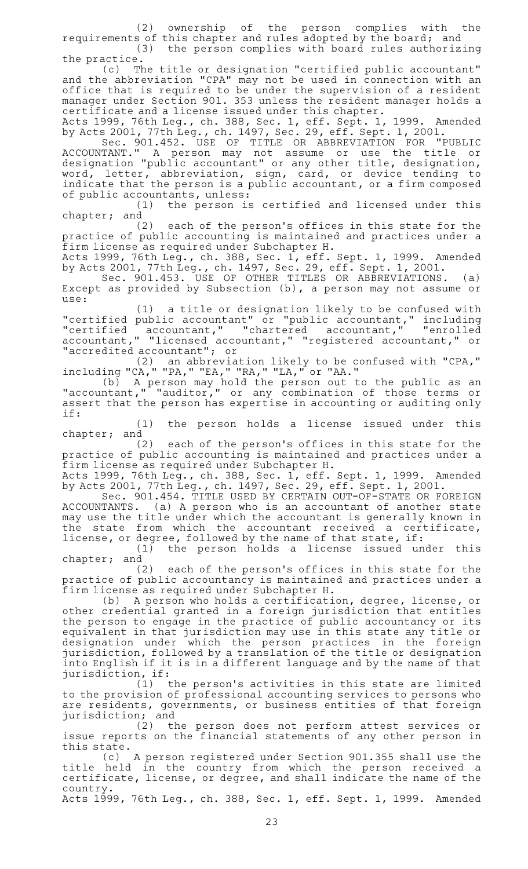(2) ownership of the person complies with the requirements of this chapter and rules adopted by the board; and  $(3)$  the person complies with board rules authorizing

the practice. (c) The title or designation "certified public accountant" and the abbreviation "CPA" may not be used in connection with an office that is required to be under the supervision of a resident manager under Section 901. 353 unless the resident manager holds a certificate and a license issued under this chapter.

Acts 1999, 76th Leg., ch. 388, Sec. 1, eff. Sept. 1, 1999. Amended by Acts 2001, 77th Leg., ch. 1497, Sec. 29, eff. Sept. 1, 2001.

Sec. 901.452. USE OF TITLE OR ABBREVIATION FOR "PUBLIC ACCOUNTANT." A person may not assume or use the title or designation "public accountant" or any other title, designation, word, letter, abbreviation, sign, card, or device tending to indicate that the person is a public accountant, or a firm composed of public accountants, unless:

(1) the person is certified and licensed under this chapter; and

(2) each of the person's offices in this state for the practice of public accounting is maintained and practices under a firm license as required under Subchapter H.

Acts 1999, 76th Leg., ch. 388, Sec. 1, eff. Sept. 1, 1999. Amended by Acts 2001, 77th Leg., ch. 1497, Sec. 29, eff. Sept. 1, 2001.

Sec. 901.453. USE OF OTHER TITLES OR ABBREVIATIONS. (a) Except as provided by Subsection (b), a person may not assume or use:

(1) a title or designation likely to be confused with "certified public accountant" or "public accountant," including "certified accountant," "chartered accountant," "enrolled accountant," "licensed accountant," "registered accountant," or "accredited accountant"; or

 $(2)$  an abbreviation likely to be confused with "CPA," including "CA," "PA," "EA," "RA," "LA," or "AA."

(b) A person may hold the person out to the public as an "accountant," "auditor," or any combination of those terms or assert that the person has expertise in accounting or auditing only if:

(1) the person holds a license issued under this chapter; and

(2) each of the person's offices in this state for the practice of public accounting is maintained and practices under a firm license as required under Subchapter H.

Acts 1999, 76th Leg., ch. 388, Sec. 1, eff. Sept. 1, 1999. Amended by Acts 2001, 77th Leg., ch. 1497, Sec. 29, eff. Sept. 1, 2001.

Sec. 901.454. TITLE USED BY CERTAIN OUT-OF-STATE OR FOREIGN ACCOUNTANTS. (a) A person who is an accountant of another state may use the title under which the accountant is generally known in the state from which the accountant received a certificate, license, or degree, followed by the name of that state, if:

(1) the person holds a license issued under this chapter; and

(2) each of the person's offices in this state for the practice of public accountancy is maintained and practices under a firm license as required under Subchapter H.

(b) A person who holds a certification, degree, license, or other credential granted in a foreign jurisdiction that entitles the person to engage in the practice of public accountancy or its equivalent in that jurisdiction may use in this state any title or designation under which the person practices in the foreign jurisdiction, followed by a translation of the title or designation into English if it is in a different language and by the name of that jurisdiction, if:

(1) the person's activities in this state are limited to the provision of professional accounting services to persons who are residents, governments, or business entities of that foreign jurisdiction; and<br>(2) th

the person does not perform attest services or issue reports on the financial statements of any other person in this state.

(c) A person registered under Section 901.355 shall use the title held in the country from which the person received a certificate, license, or degree, and shall indicate the name of the country.

Acts 1999, 76th Leg., ch. 388, Sec. 1, eff. Sept. 1, 1999. Amended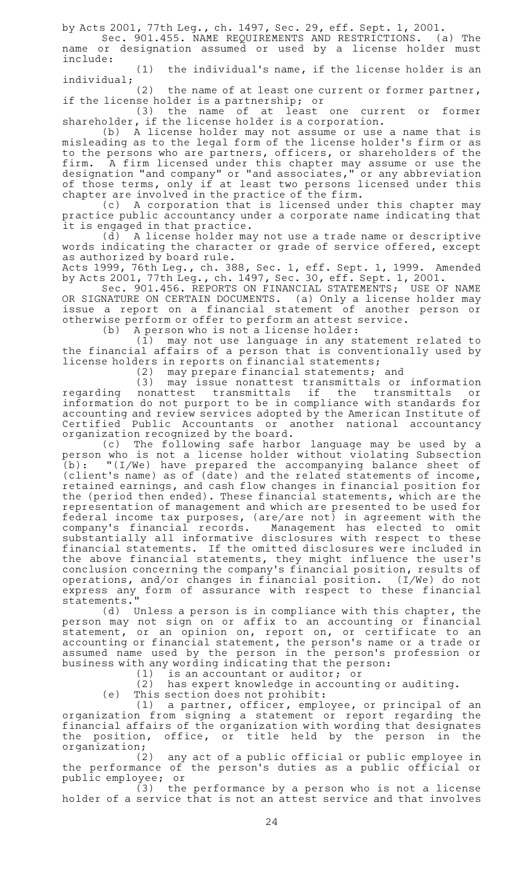by Acts 2001, 77th Leg., ch. 1497, Sec. 29, eff. Sept. 1, 2001.

Sec. 901.455. NAME REQUIREMENTS AND RESTRICTIONS. (a) The name or designation assumed or used by a license holder must include:

 $(1)$  the individual's name, if the license holder is an individual;

(2) the name of at least one current or former partner, if the license holder is a partnership; or

(3) the name of at least one current or former shareholder, if the license holder is a corporation.

(b)AAA license holder may not assume or use a name that is misleading as to the legal form of the license holder 's firm or as to the persons who are partners, officers, or shareholders of the firm. A firm licensed under this chapter may assume or use the designation "and company" or "and associates," or any abbreviation of those terms, only if at least two persons licensed under this chapter are involved in the practice of the firm.

(c) A corporation that is licensed under this chapter may practice public accountancy under a corporate name indicating that it is engaged in that practice.

 $(d)$  A license holder may not use a trade name or descriptive words indicating the character or grade of service offered, except as authorized by board rule.

Acts 1999, 76th Leg., ch. 388, Sec. 1, eff. Sept. 1, 1999. Amended by Acts 2001, 77th Leg., ch. 1497, Sec. 30, eff. Sept. 1, 2001.

Sec. 901.456. REPORTS ON FINANCIAL STATEMENTS; USE OF NAME OR SIGNATURE ON CERTAIN DOCUMENTS. (a) Only a license holder may issue a report on a financial statement of another person or otherwise perform or offer to perform an attest service.

 $(b)$  A person who is not a license holder:

(1) may not use language in any statement related to the financial affairs of a person that is conventionally used by license holders in reports on financial statements;

(2) may prepare financial statements; and<br>(3) may issue nonattest transmittals or (3) may issue nonattest transmittals or information regarding nonattest transmittals if the transmittals or information do not purport to be in compliance with standards for accounting and review services adopted by the American Institute of Certified Public Accountants or another national accountancy organization recognized by the board.

(c) The following safe harbor language may be used by a person who is not a license holder without violating Subsection (b): "(I/We) have prepared the accompanying balance sheet of (client 's name) as of (date) and the related statements of income, retained earnings, and cash flow changes in financial position for the (period then ended). These financial statements, which are the representation of management and which are presented to be used for federal income tax purposes, (are/are not) in agreement with the company 's financial records. Management has elected to omit substantially all informative disclosures with respect to these financial statements. If the omitted disclosures were included in the above financial statements, they might influence the user 's conclusion concerning the company 's financial position, results of operations, and/or changes in financial position. (I/We) do not express any form of assurance with respect to these financial statements."

(d) Unless a person is in compliance with this chapter, the person may not sign on or affix to an accounting or financial statement, or an opinion on, report on, or certificate to an accounting or financial statement, the person 's name or a trade or assumed name used by the person in the person's profession or business with any wording indicating that the person:

(1) is an accountant or auditor; or<br>(2) has expert knowledge in account:

has expert knowledge in accounting or auditing.

 $(e)$  This section does not prohibit:

 $(1)$  a partner, officer, employee, or principal of an organization from signing a statement or report regarding the financial affairs of the organization with wording that designates the position, office, or title held by the person in the organization;<br>(2)

any act of a public official or public employee in the performance of the person 's duties as a public official or public employee; or

 $(3)$  the performance by a person who is not a license holder of a service that is not an attest service and that involves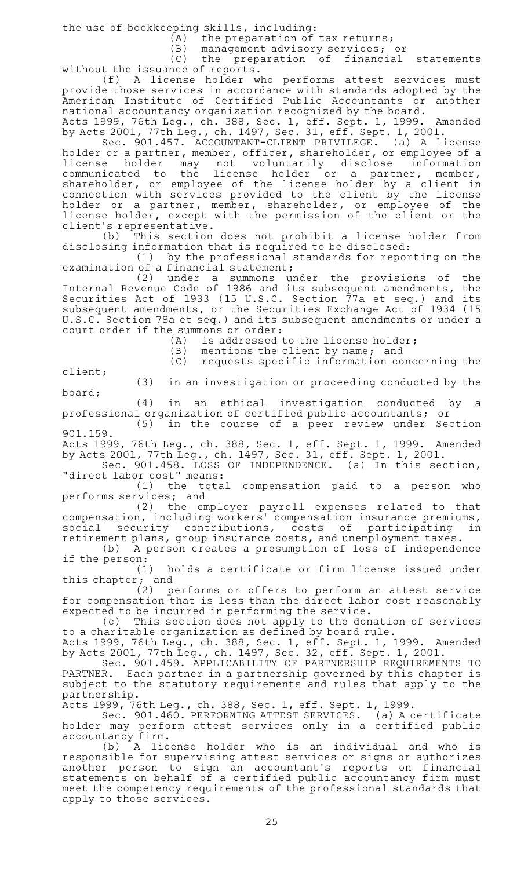the use of bookkeeping skills, including:

 $(A)$  the preparation of tax returns;

(B) management advisory services; or

(C) the preparation of financial statements without the issuance of reports.

(f)AAA license holder who performs attest services must provide those services in accordance with standards adopted by the American Institute of Certified Public Accountants or another national accountancy organization recognized by the board.

Acts 1999, 76th Leg., ch. 388, Sec. 1, eff. Sept. 1, 1999. Amended by Acts 2001, 77th Leg., ch. 1497, Sec. 31, eff. Sept. 1, 2001.

Sec. 901.457. ACCOUNTANT-CLIENT PRIVILEGE. (a) A license holder or a partner, member, officer, shareholder, or employee of a license holder may not voluntarily disclose information<br>communicated to the license holder or a partner, member, communicated to the license holder or a partner, member, shareholder, or employee of the license holder by a client in connection with services provided to the client by the license holder or a partner, member, shareholder, or employee of the license holder, except with the permission of the client or the client 's representative.

(b) This section does not prohibit a license holder from disclosing information that is required to be disclosed:

(1) by the professional standards for reporting on the examination of a financial statement;

(2) under a summons under the provisions of the Internal Revenue Code of 1986 and its subsequent amendments, the Securities Act of 1933 (15 U.S.C. Section 77a et seq.) and its subsequent amendments, or the Securities Exchange Act of 1934 (15 U.S.C. Section 78a et seq.) and its subsequent amendments or under a court order if the summons or order:

 $(A)$  is addressed to the license holder;

 $(B)$  mentions the client by name; and (C) requests specific information concerning the

client;

(3) in an investigation or proceeding conducted by the board;

(4) in an ethical investigation conducted by a professional organization of certified public accountants; or

 $(5)$  in the course of a peer review under Section 901.159.

Acts 1999, 76th Leg., ch. 388, Sec. 1, eff. Sept. 1, 1999. Amended by Acts 2001, 77th Leg., ch. 1497, Sec. 31, eff. Sept. 1, 2001.

Sec. 901.458. LOSS OF INDEPENDENCE. (a) In this section, "direct labor cost" means:

 $(1)$  the total compensation paid to a person who performs services; and

(2) the employer payroll expenses related to that compensation, including workers' compensation insurance premiums,<br>social security contributions, costs of participating in social security contributions, costs of participating in retirement plans, group insurance costs, and unemployment taxes.

(b) A person creates a presumption of loss of independence if the person:

(1) holds a certificate or firm license issued under this chapter; and

(2) performs or offers to perform an attest service for compensation that is less than the direct labor cost reasonably expected to be incurred in performing the service.

(c) This section does not apply to the donation of services to a charitable organization as defined by board rule.

Acts 1999, 76th Leg., ch. 388, Sec. 1, eff. Sept. 1, 1999. Amended by Acts 2001, 77th Leg., ch. 1497, Sec. 32, eff. Sept. 1, 2001.

Sec.A901.459. APPLICABILITY OF PARTNERSHIP REQUIREMENTS TO PARTNER. Each partner in a partnership governed by this chapter is subject to the statutory requirements and rules that apply to the partnership.

Acts 1999, 76th Leg., ch. 388, Sec. 1, eff. Sept. 1, 1999.

Sec. 901.460. PERFORMING ATTEST SERVICES. (a) A certificate holder may perform attest services only in a certified public accountancy firm.

(b)AAA license holder who is an individual and who is responsible for supervising attest services or signs or authorizes another person to sign an accountant 's reports on financial statements on behalf of a certified public accountancy firm must meet the competency requirements of the professional standards that apply to those services.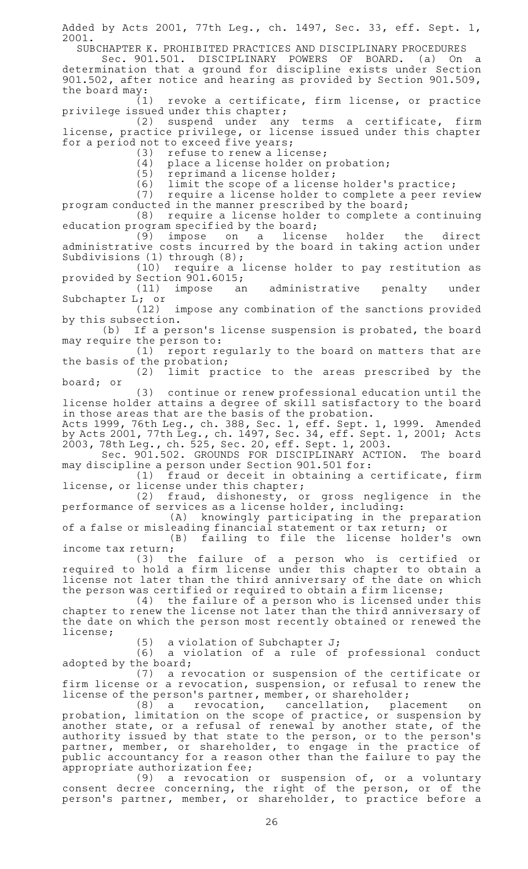Added by Acts 2001, 77th Leg., ch. 1497, Sec. 33, eff. Sept. 1, 2001.

SUBCHAPTER K. PROHIBITED PRACTICES AND DISCIPLINARY PROCEDURES

Sec. 901.501. DISCIPLINARY POWERS OF BOARD. (a) On a determination that a ground for discipline exists under Section 901.502, after notice and hearing as provided by Section 901.509, the board may:

 $(1)$  revoke a certificate, firm license, or practice privilege issued under this chapter;

(2) suspend under any terms a certificate, firm license, practice privilege, or license issued under this chapter for a period not to exceed five years;

 $(3)$  refuse to renew a license;

 $(4)$  place a license holder on probation;

- (5) reprimand a license holder;
- (6) limit the scope of a license holder's practice;<br>(7) require a license holder to complete a peer represe

require a license holder to complete a peer review program conducted in the manner prescribed by the board;

(8) require a license holder to complete a continuing education program specified by the board;

(9) impose on a license holder the direct administrative costs incurred by the board in taking action under Subdivisions (1) through (8);

(10) require a license holder to pay restitution as provided by Section 901.6015;

(11) impose an administrative penalty under Subchapter L; or (12)

impose any combination of the sanctions provided by this subsection.

 $(b)$  If a person's license suspension is probated, the board may require the person to:

(1) report regularly to the board on matters that are the basis of the probation;

 $(2)$  limit practice to the areas prescribed by the board; or

(3) continue or renew professional education until the license holder attains a degree of skill satisfactory to the board in those areas that are the basis of the probation.

Acts 1999, 76th Leg., ch. 388, Sec. 1, eff. Sept. 1, 1999. Amended by Acts 2001, 77th Leg., ch. 1497, Sec. 34, eff. Sept. 1, 2001; Acts 2003, 78th Leg., ch. 525, Sec. 20, eff. Sept. 1, 2003.

Sec. 901.502. GROUNDS FOR DISCIPLINARY ACTION. The board may discipline a person under Section 901.501 for:

(1) fraud or deceit in obtaining a certificate, firm license, or license under this chapter;

(2) fraud, dishonesty, or gross negligence in the performance of services as a license holder, including:

(A) knowingly participating in the preparation of a false or misleading financial statement or tax return; or

(B) failing to file the license holder's own income tax return;<br>(3) t

the failure of a person who is certified or required to hold a firm license under this chapter to obtain a license not later than the third anniversary of the date on which the person was certified or required to obtain a firm license;

 $(4)$  the failure of a person who is licensed under this chapter to renew the license not later than the third anniversary of the date on which the person most recently obtained or renewed the license;

 $(5)$  a violation of Subchapter J;

(6) a violation of a rule of professional conduct adopted by the board;

(7) a revocation or suspension of the certificate or firm license or a revocation, suspension, or refusal to renew the license of the person's partner, member, or shareholder;

(8) a revocation, cancellation, placement on probation, limitation on the scope of practice, or suspension by another state, or a refusal of renewal by another state, of the authority issued by that state to the person, or to the person's partner, member, or shareholder, to engage in the practice of public accountancy for a reason other than the failure to pay the appropriate authorization fee;

 $(9)$  a revocation or suspension of, or a voluntary consent decree concerning, the right of the person, or of the person 's partner, member, or shareholder, to practice before a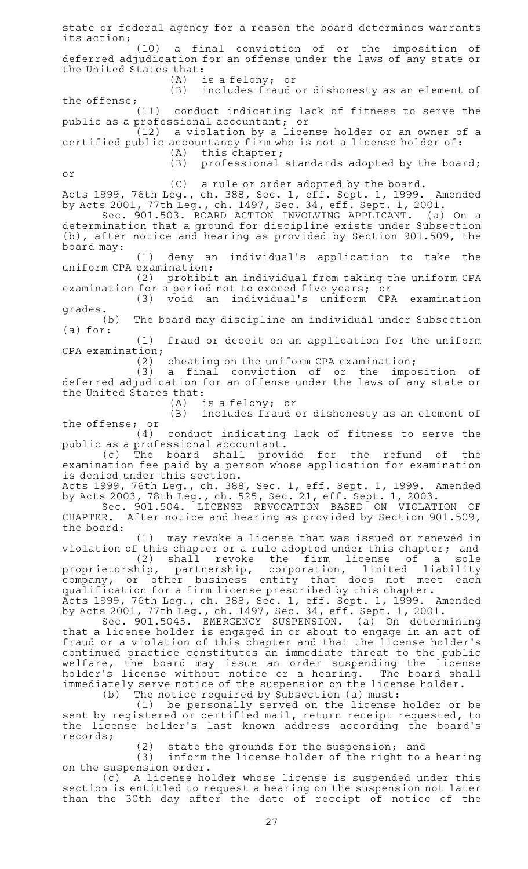state or federal agency for a reason the board determines warrants its action; (10) a final conviction of or the imposition of deferred adjudication for an offense under the laws of any state or the United States that:  $(A)$  is a felony; or (B) includes fraud or dishonesty as an element of the offense;  $(11)$ conduct indicating lack of fitness to serve the public as a professional accountant; or (12) a violation by a license holder or an owner of a certified public accountancy firm who is not a license holder of:  $(A)$  this chapter;  $(B)$  professional standards adopted by the board; or (C) a rule or order adopted by the board. Acts 1999, 76th Leg., ch. 388, Sec. 1, eff. Sept. 1, 1999. Amended by Acts 2001, 77th Leg., ch. 1497, Sec. 34, eff. Sept. 1, 2001. Sec. 901.503. BOARD ACTION INVOLVING APPLICANT. (a) On a determination that a ground for discipline exists under Subsection (b), after notice and hearing as provided by Section 901.509, the board may: (1) deny an individual's application to take the uniform CPA examination; (2) prohibit an individual from taking the uniform CPA examination for a period not to exceed five years; or (3) void an individual's uniform CPA examination grades.<br>(b) The board may discipline an individual under Subsection (a) for: (1) fraud or deceit on an application for the uniform CPA examination; (2) cheating on the uniform CPA examination;<br>(3) a final conviction of or the impo a final conviction of or the imposition of deferred adjudication for an offense under the laws of any state or the United States that:  $(A)$  is a felony; or (B) includes fraud or dishonesty as an element of the offense; or  $(4)$  conduct indicating lack of fitness to serve the public as a professional accountant. (c) The board shall provide for the refund of the examination fee paid by a person whose application for examination is denied under this section. Acts 1999, 76th Leg., ch. 388, Sec. 1, eff. Sept. 1, 1999. Amended by Acts 2003, 78th Leg., ch. 525, Sec. 21, eff. Sept. 1, 2003. Sec. 901.504. LICENSE REVOCATION BASED ON VIOLATION OF CHAPTER. After notice and hearing as provided by Section 901.509,  $\,$ the board: (1)  $\,$  may revoke a license that was issued or renewed in violation of this chapter or a rule adopted under this chapter; and  $(2)$  shall revoke the firm license of a sole proprietorship, partnership, corporation, limited liability company, or other business entity that does not meet each qualification for a firm license prescribed by this chapter. Acts 1999, 76th Leg., ch. 388, Sec. 1, eff. Sept. 1, 1999. Amended by Acts 2001, 77th Leg., ch. 1497, Sec. 34, eff. Sept. 1, 2001. Sec. 901.5045. EMERGENCY SUSPENSION. (a) On determining that a license holder is engaged in or about to engage in an act of

fraud or a violation of this chapter and that the license holder 's continued practice constitutes an immediate threat to the public welfare, the board may issue an order suspending the license holder 's license without notice or a hearing. The board shall immediately serve notice of the suspension on the license holder. (b) The notice required by Subsection (a) must:

 $(1)$  be personally served on the license holder or be sent by registered or certified mail, return receipt requested, to the license holder 's last known address according the board 's records;

(2) state the grounds for the suspension; and

(3) inform the license holder of the right to a hearing on the suspension order.

(c) A license holder whose license is suspended under this section is entitled to request a hearing on the suspension not later than the 30th day after the date of receipt of notice of the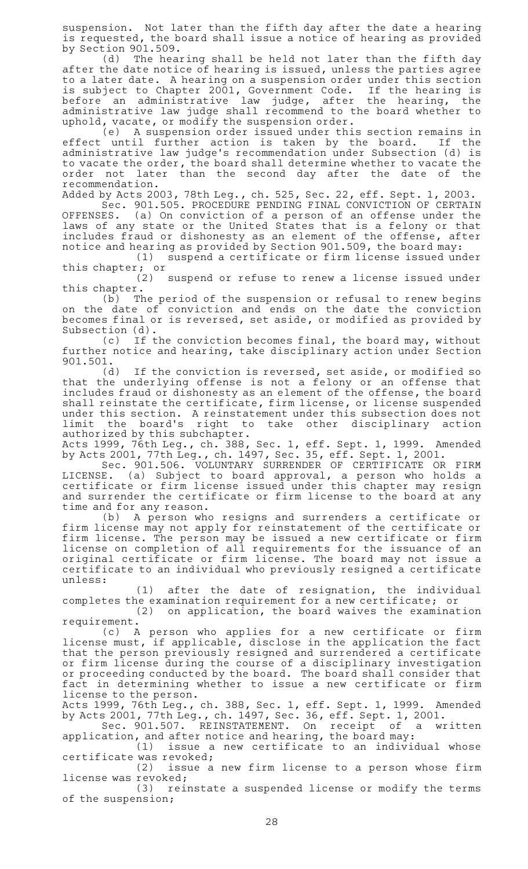suspension. Not later than the fifth day after the date a hearing is requested, the board shall issue a notice of hearing as provided by Section 901.509.

(d) The hearing shall be held not later than the fifth day after the date notice of hearing is issued, unless the parties agree to a later date. A hearing on a suspension order under this section is subject to Chapter 2001, Government Code. If the hearing is before an administrative law judge, after the hearing, the administrative law judge shall recommend to the board whether to uphold, vacate, or modify the suspension order.

(e) A suspension order issued under this section remains in effect until further action is taken by the board. If the administrative law judge 's recommendation under Subsection (d) is to vacate the order, the board shall determine whether to vacate the order not later than the second day after the date of the recommendation.

Added by Acts 2003, 78th Leg., ch. 525, Sec. 22, eff. Sept. 1, 2003.

Sec. 901.505. PROCEDURE PENDING FINAL CONVICTION OF CERTAIN OFFENSES. (a) On conviction of a person of an offense under the laws of any state or the United States that is a felony or that includes fraud or dishonesty as an element of the offense, after notice and hearing as provided by Section 901.509, the board may:

 $(1)$  suspend a certificate or firm license issued under this chapter; or  $(2)$ 

suspend or refuse to renew a license issued under this chapter.

 $(b)$  The period of the suspension or refusal to renew begins on the date of conviction and ends on the date the conviction becomes final or is reversed, set aside, or modified as provided by Subsection (d).

(c) If the conviction becomes final, the board may, without further notice and hearing, take disciplinary action under Section 901.501.

 $(d)$  If the conviction is reversed, set aside, or modified so that the underlying offense is not a felony or an offense that includes fraud or dishonesty as an element of the offense, the board shall reinstate the certificate, firm license, or license suspended under this section. A reinstatement under this subsection does not limit the board 's right to take other disciplinary action authorized by this subchapter.

Acts 1999, 76th Leg., ch. 388, Sec. 1, eff. Sept. 1, 1999. Amended by Acts 2001, 77th Leg., ch. 1497, Sec. 35, eff. Sept. 1, 2001.

Sec. 901.506. VOLUNTARY SURRENDER OF CERTIFICATE OR FIRM LICENSE. (a) Subject to board approval, a person who holds a certificate or firm license issued under this chapter may resign and surrender the certificate or firm license to the board at any time and for any reason.

(b) A person who resigns and surrenders a certificate or firm license may not apply for reinstatement of the certificate or firm license. The person may be issued a new certificate or firm license on completion of all requirements for the issuance of an original certificate or firm license. The board may not issue a certificate to an individual who previously resigned a certificate unless:

 $(1)$  after the date of resignation, the individual completes the examination requirement for a new certificate; or  $(2)$  on application, the board waives the examination

requirement.

(c) A person who applies for a new certificate or firm license must, if applicable, disclose in the application the fact that the person previously resigned and surrendered a certificate or firm license during the course of a disciplinary investigation or proceeding conducted by the board. The board shall consider that fact in determining whether to issue a new certificate or firm license to the person.

Acts 1999, 76th Leg., ch. 388, Sec. 1, eff. Sept. 1, 1999. Amended by Acts 2001, 77th Leg., ch. 1497, Sec. 36, eff. Sept. 1, 2001.

Sec. 901.507. REINSTATEMENT. On receipt of a written application, and after notice and hearing, the board may:

 $(1)$  issue a new certificate to an individual whose certificate was revoked;

 $(2)$  issue a new firm license to a person whose firm license was revoked;

(3) reinstate a suspended license or modify the terms of the suspension;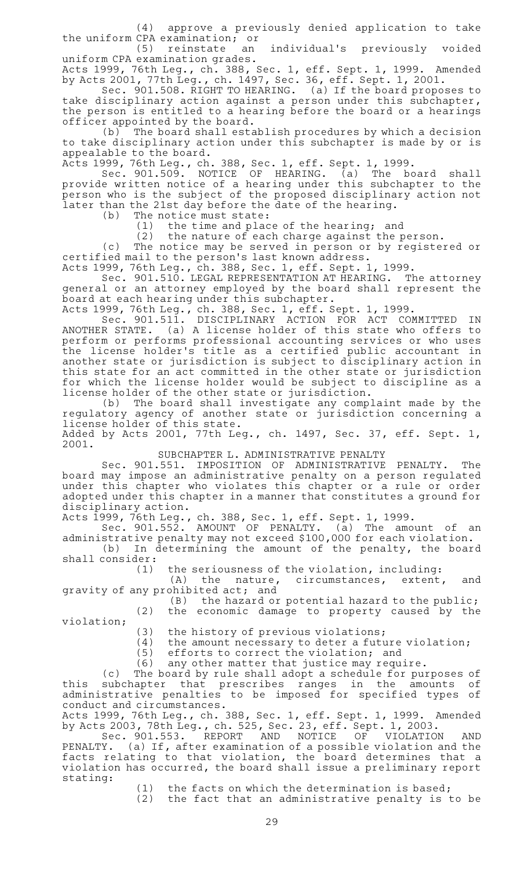(4) approve a previously denied application to take the uniform CPA examination; or

(5) reinstate an individual's previously voided uniform CPA examination grades.

Acts 1999, 76th Leg., ch. 388, Sec. 1, eff. Sept. 1, 1999. Amended by Acts 2001, 77th Leg., ch. 1497, Sec. 36, eff. Sept. 1, 2001.

Sec. 901.508. RIGHT TO HEARING. (a) If the board proposes to take disciplinary action against a person under this subchapter, the person is entitled to a hearing before the board or a hearings officer appointed by the board.

(b) The board shall establish procedures by which a decision to take disciplinary action under this subchapter is made by or is appealable to the board.

Acts 1999, 76th Leg., ch. 388, Sec. 1, eff. Sept. 1, 1999.

Sec. 901.509. NOTICE OF HEARING. (a) The board shall provide written notice of a hearing under this subchapter to the person who is the subject of the proposed disciplinary action not later than the 21st day before the date of the hearing.

(b) The notice must state:

 $(1)$  the time and place of the hearing; and

 $(2)$  the nature of each charge against the person.

(c) The notice may be served in person or by registered or certified mail to the person 's last known address.

Acts 1999, 76th Leg., ch. 388, Sec. 1, eff. Sept. 1, 1999.

Sec. 901.510. LEGAL REPRESENTATION AT HEARING. The attorney general or an attorney employed by the board shall represent the board at each hearing under this subchapter.

Acts 1999, 76th Leg., ch. 388, Sec. 1, eff. Sept. 1, 1999.

Sec. 901.511. DISCIPLINARY ACTION FOR ACT COMMITTED IN ANOTHER STATE. (a) A license holder of this state who offers to perform or performs professional accounting services or who uses the license holder 's title as a certified public accountant in another state or jurisdiction is subject to disciplinary action in this state for an act committed in the other state or jurisdiction for which the license holder would be subject to discipline as a license holder of the other state or jurisdiction.

(b) The board shall investigate any complaint made by the regulatory agency of another state or jurisdiction concerning a license holder of this state.

Added by Acts 2001, 77th Leg., ch. 1497, Sec. 37, eff. Sept. 1, 2001.

SUBCHAPTER L. ADMINISTRATIVE PENALTY

Sec. 901.551. IMPOSITION OF ADMINISTRATIVE PENALTY. The board may impose an administrative penalty on a person regulated under this chapter who violates this chapter or a rule or order adopted under this chapter in a manner that constitutes a ground for disciplinary action.

Acts 1999, 76th Leg., ch. 388, Sec. 1, eff. Sept. 1, 1999.

Sec. 901.552. AMOUNT OF PENALTY. (a) The amount of an administrative penalty may not exceed \$100,000 for each violation.

(b) In determining the amount of the penalty, the board shall consider:

(1) the seriousness of the violation, including:<br>(A) the nature, circumstances, extent, circumstances, extent, and gravity of any prohibited act; and

 $(B)$  the hazard or potential hazard to the public; (2) the economic damage to property caused by the

violation;

 $(3)$  the history of previous violations;

 $(4)$  the amount necessary to deter a future violation;

 $(5)$  efforts to correct the violation; and

(6) any other matter that justice may require.

(c) The board by rule shall adopt a schedule for purposes of this subchapter that prescribes ranges in the amounts of administrative penalties to be imposed for specified types of conduct and circumstances.

Acts 1999, 76th Leg., ch. 388, Sec. 1, eff. Sept. 1, 1999. Amended by Acts 2003, 78th Leg., ch. 525, Sec. 23, eff. Sept. 1, 2003.

Sec. 901.553. REPORT AND NOTICE OF VIOLATION AND PENALTY. (a)If, after examination of a possible violation and the facts relating to that violation, the board determines that a violation has occurred, the board shall issue a preliminary report stating:

 $(1)$  the facts on which the determination is based;

(2) the fact that an administrative penalty is to be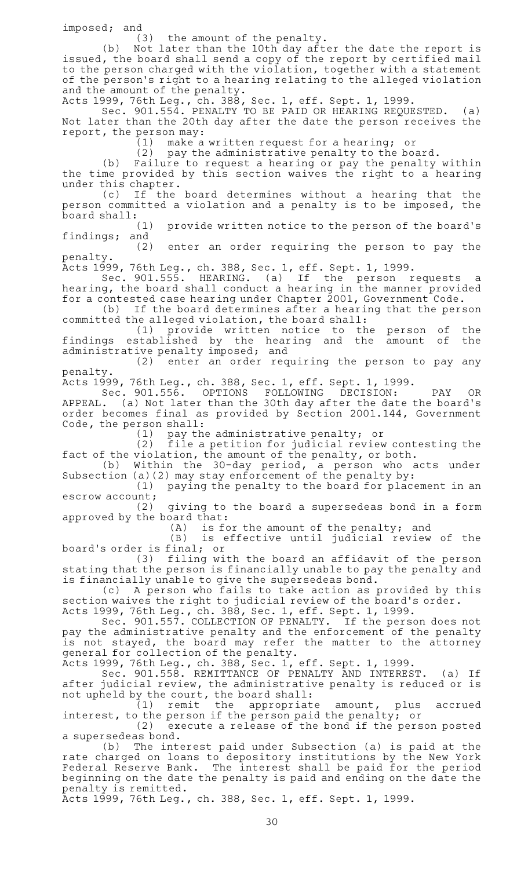$imposed; and$  $(3)$ 

the amount of the penalty.

(b) Not later than the 10th day after the date the report is issued, the board shall send a copy of the report by certified mail to the person charged with the violation, together with a statement of the person 's right to a hearing relating to the alleged violation and the amount of the penalty.

Acts 1999, 76th Leg., ch. 388, Sec. 1, eff. Sept. 1, 1999.

Sec. 901.554. PENALTY TO BE PAID OR HEARING REQUESTED. (a) Not later than the 20th day after the date the person receives the report, the person may:

 $(1)$  make a written request for a hearing; or

 $(2)$  pay the administrative penalty to the board.

(b) Failure to request a hearing or pay the penalty within the time provided by this section waives the right to a hearing under this chapter.

(c) If the board determines without a hearing that the person committed a violation and a penalty is to be imposed, the

board shall:<br>(1) provide written notice to the person of the board's findings; and

(2) enter an order requiring the person to pay the penalty.

Acts 1999, 76th Leg., ch. 388, Sec. 1, eff. Sept. 1, 1999.

Sec. 901.555. HEARING. (a) If the person requests a hearing, the board shall conduct a hearing in the manner provided for a contested case hearing under Chapter 2001, Government Code.

(b) If the board determines after a hearing that the person committed the alleged violation, the board shall:

(1) provide written notice to the person of the findings established by the hearing and the amount of the administrative penalty imposed; and

(2) enter an order requiring the person to pay any penalty.

Acts 1999, 76th Leg., ch. 388, Sec. 1, eff. Sept. 1, 1999.

Sec. 901.556. OPTIONS FOLLOWING DECISION: PAY OR APPEAL. (a) Not later than the 30th day after the date the board's order becomes final as provided by Section 2001.144, Government Code, the person shall:

(1) pay the administrative penalty; or

(2) file a petition for judicial review contesting the fact of the violation, the amount of the penalty, or both.

(b) Within the 30-day period, a person who acts under Subsection (a)(2) may stay enforcement of the penalty by:<br>(1) paying the penalty to the board for place

paying the penalty to the board for placement in an escrow account;

 $(2)$  giving to the board a supersedeas bond in a form approved by the board that:

 $(A)$  is for the amount of the penalty; and

(B) is effective until judicial review of the board's order is final; or

(3) filing with the board an affidavit of the person stating that the person is financially unable to pay the penalty and is financially unable to give the supersedeas bond.

(c) A person who fails to take action as provided by this section waives the right to judicial review of the board's order. Acts 1999, 76th Leg., ch. 388, Sec. 1, eff. Sept. 1, 1999.

Sec. 901.557. COLLECTION OF PENALTY. If the person does not pay the administrative penalty and the enforcement of the penalty is not stayed, the board may refer the matter to the attorney general for collection of the penalty.

Acts 1999, 76th Leg., ch. 388, Sec. 1, eff. Sept. 1, 1999.

Sec. 901.558. REMITTANCE OF PENALTY AND INTEREST. (a) If after judicial review, the administrative penalty is reduced or is not upheld by the court, the board shall:

(1) remit the appropriate amount, plus accrued interest, to the person if the person paid the penalty; or

 $(2)$  execute a release of the bond if the person posted a supersedeas bond.

(b) The interest paid under Subsection (a) is paid at the rate charged on loans to depository institutions by the New York Federal Reserve Bank. The interest shall be paid for the period beginning on the date the penalty is paid and ending on the date the penalty is remitted.

Acts 1999, 76th Leg., ch. 388, Sec. 1, eff. Sept. 1, 1999.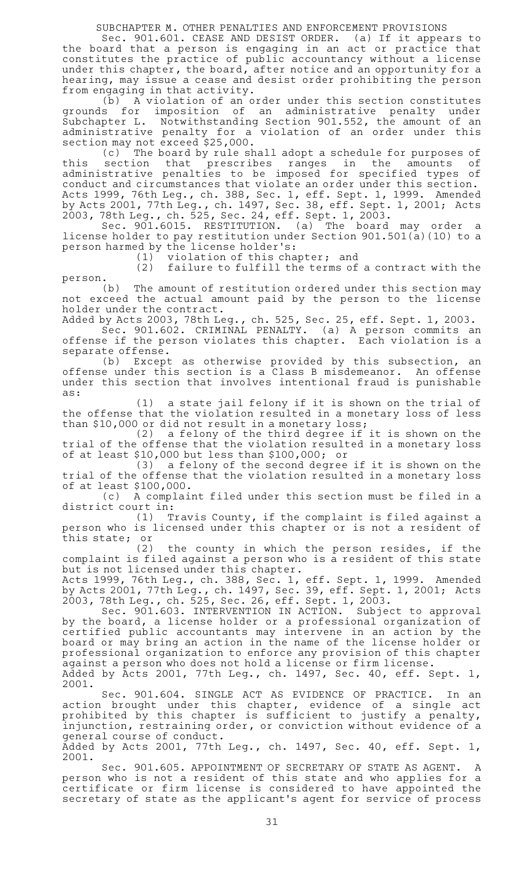SUBCHAPTER M. OTHER PENALTIES AND ENFORCEMENT PROVISIONS

Sec. 901.601. CEASE AND DESIST ORDER. (a) If it appears to the board that a person is engaging in an act or practice that constitutes the practice of public accountancy without a license under this chapter, the board, after notice and an opportunity for a hearing, may issue a cease and desist order prohibiting the person from engaging in that activity.

(b) A violation of an order under this section constitutes grounds for imposition of an administrative penalty under Subchapter L. Notwithstanding Section 901.552, the amount of an administrative penalty for a violation of an order under this section may not exceed \$25,000.

(c) The board by rule shall adopt a schedule for purposes of this section that prescribes ranges in the amounts of administrative penalties to be imposed for specified types of conduct and circumstances that violate an order under this section. Acts 1999, 76th Leg., ch. 388, Sec. 1, eff. Sept. 1, 1999. Amended by Acts 2001, 77th Leg., ch. 1497, Sec. 38, eff. Sept. 1, 2001; Acts 2003, 78th Leg., ch. 525, Sec. 24, eff. Sept. 1, 2003.

Sec. 901.6015. RESTITUTION. (a) The board may order a license holder to pay restitution under Section 901.501(a)(10) to a person harmed by the license holder 's:

 $(1)$  violation of this chapter; and

 $(2)$  failure to fulfill the terms of a contract with the person.

(b) The amount of restitution ordered under this section may not exceed the actual amount paid by the person to the license holder under the contract.

Added by Acts 2003, 78th Leg., ch. 525, Sec. 25, eff. Sept. 1, 2003.

Sec. 901.602. CRIMINAL PENALTY. (a) A person commits an offense if the person violates this chapter. Each violation is a separate offense.

(b) Except as otherwise provided by this subsection, an offense under this section is a Class B misdemeanor. An offense under this section that involves intentional fraud is punishable as:

 $(1)$  a state jail felony if it is shown on the trial of the offense that the violation resulted in a monetary loss of less than \$10,000 or did not result in a monetary loss;

(2) a felony of the third degree if it is shown on the trial of the offense that the violation resulted in a monetary loss of at least \$10,000 but less than \$100,000; or

(3) a felony of the second degree if it is shown on the trial of the offense that the violation resulted in a monetary loss of at least \$100,000.

(c) A complaint filed under this section must be filed in a district court in:

(1) Travis County, if the complaint is filed against a person who is licensed under this chapter or is not a resident of this state; or

(2) the county in which the person resides, if the complaint is filed against a person who is a resident of this state but is not licensed under this chapter.

Acts 1999, 76th Leg., ch. 388, Sec. 1, eff. Sept. 1, 1999. Amended by Acts 2001, 77th Leg., ch. 1497, Sec. 39, eff. Sept. 1, 2001; Acts 2003, 78th Leg., ch. 525, Sec. 26, eff. Sept. 1, 2003.

Sec. 901.603. INTERVENTION IN ACTION. Subject to approval by the board, a license holder or a professional organization of certified public accountants may intervene in an action by the board or may bring an action in the name of the license holder or professional organization to enforce any provision of this chapter against a person who does not hold a license or firm license. Added by Acts 2001, 77th Leg., ch. 1497, Sec. 40, eff. Sept. 1, 2001.

Sec. 901.604. SINGLE ACT AS EVIDENCE OF PRACTICE. In an action brought under this chapter, evidence of a single act prohibited by this chapter is sufficient to justify a penalty, injunction, restraining order, or conviction without evidence of a general course of conduct.

Added by Acts 2001, 77th Leg., ch. 1497, Sec. 40, eff. Sept. 1, 2001.

Sec. 901.605. APPOINTMENT OF SECRETARY OF STATE AS AGENT. A person who is not a resident of this state and who applies for a certificate or firm license is considered to have appointed the secretary of state as the applicant 's agent for service of process